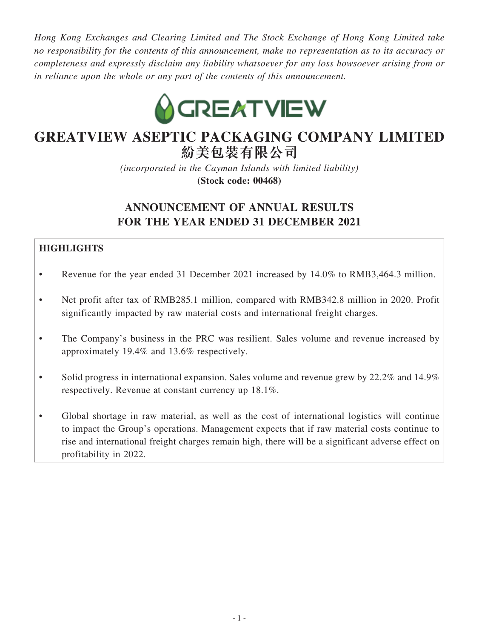*Hong Kong Exchanges and Clearing Limited and The Stock Exchange of Hong Kong Limited take no responsibility for the contents of this announcement, make no representation as to its accuracy or completeness and expressly disclaim any liability whatsoever for any loss howsoever arising from or in reliance upon the whole or any part of the contents of this announcement.*



# **GREATVIEW ASEPTIC PACKAGING COMPANY LIMITED 紛美包裝有限公司**

*(incorporated in the Cayman Islands with limited liability)* **(Stock code: 00468)**

# **ANNOUNCEMENT OF ANNUAL RESULTS FOR THE YEAR ENDED 31 DECEMBER 2021**

# **HIGHLIGHTS**

- Revenue for the year ended 31 December 2021 increased by 14.0% to RMB3,464.3 million.
- Net profit after tax of RMB285.1 million, compared with RMB342.8 million in 2020. Profit significantly impacted by raw material costs and international freight charges.
- The Company's business in the PRC was resilient. Sales volume and revenue increased by approximately 19.4% and 13.6% respectively.
- Solid progress in international expansion. Sales volume and revenue grew by 22.2% and 14.9% respectively. Revenue at constant currency up 18.1%.
- Global shortage in raw material, as well as the cost of international logistics will continue to impact the Group's operations. Management expects that if raw material costs continue to rise and international freight charges remain high, there will be a significant adverse effect on profitability in 2022.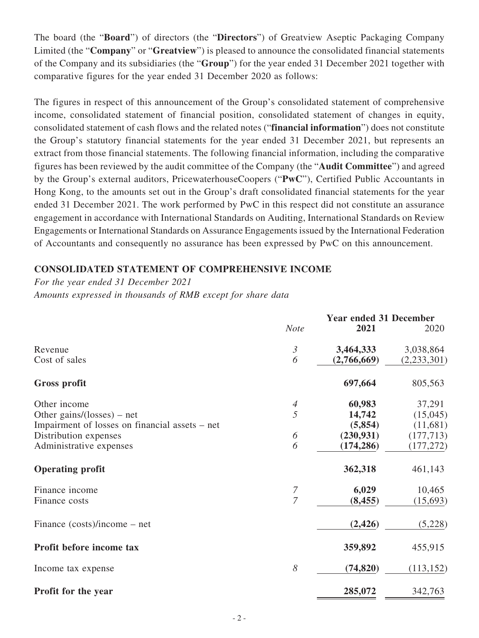The board (the "**Board**") of directors (the "**Directors**") of Greatview Aseptic Packaging Company Limited (the "**Company**" or "**Greatview**") is pleased to announce the consolidated financial statements of the Company and its subsidiaries (the "**Group**") for the year ended 31 December 2021 together with comparative figures for the year ended 31 December 2020 as follows:

The figures in respect of this announcement of the Group's consolidated statement of comprehensive income, consolidated statement of financial position, consolidated statement of changes in equity, consolidated statement of cash flows and the related notes ("**financial information**") does not constitute the Group's statutory financial statements for the year ended 31 December 2021, but represents an extract from those financial statements. The following financial information, including the comparative figures has been reviewed by the audit committee of the Company (the "**Audit Committee**") and agreed by the Group's external auditors, PricewaterhouseCoopers ("**PwC**"), Certified Public Accountants in Hong Kong, to the amounts set out in the Group's draft consolidated financial statements for the year ended 31 December 2021. The work performed by PwC in this respect did not constitute an assurance engagement in accordance with International Standards on Auditing, International Standards on Review Engagements or International Standards on Assurance Engagements issued by the International Federation of Accountants and consequently no assurance has been expressed by PwC on this announcement.

### **CONSOLIDATED STATEMENT OF COMPREHENSIVE INCOME**

*For the year ended 31 December 2021*

*Amounts expressed in thousands of RMB except for share data*

|                                                | <b>Note</b>    | <b>Year ended 31 December</b><br>2021 | 2020        |
|------------------------------------------------|----------------|---------------------------------------|-------------|
| Revenue                                        | $\mathfrak{Z}$ | 3,464,333                             | 3,038,864   |
| Cost of sales                                  | 6              | (2,766,669)                           | (2,233,301) |
| <b>Gross profit</b>                            |                | 697,664                               | 805,563     |
| Other income                                   | $\overline{4}$ | 60,983                                | 37,291      |
| Other gains/(losses) – net                     | 5              | 14,742                                | (15,045)    |
| Impairment of losses on financial assets - net |                | (5,854)                               | (11,681)    |
| Distribution expenses                          | 6              | (230, 931)                            | (177, 713)  |
| Administrative expenses                        | 6              | (174, 286)                            | (177, 272)  |
| <b>Operating profit</b>                        |                | 362,318                               | 461,143     |
| Finance income                                 | 7              | 6,029                                 | 10,465      |
| Finance costs                                  | $\overline{7}$ | (8, 455)                              | (15,693)    |
| Finance $(costs)/income - net$                 |                | (2, 426)                              | (5,228)     |
| Profit before income tax                       |                | 359,892                               | 455,915     |
| Income tax expense                             | 8              | (74, 820)                             | (113, 152)  |
| Profit for the year                            |                | 285,072                               | 342,763     |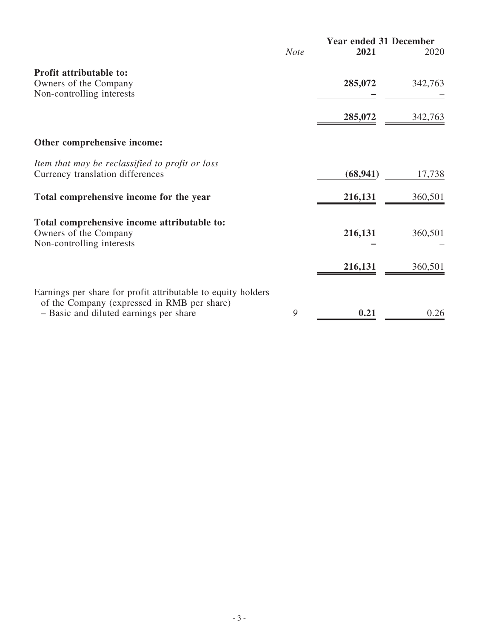|                                                                                       | <b>Year ended 31 December</b> |           |         |
|---------------------------------------------------------------------------------------|-------------------------------|-----------|---------|
|                                                                                       | <b>Note</b>                   | 2021      | 2020    |
| Profit attributable to:                                                               |                               |           |         |
| Owners of the Company                                                                 |                               | 285,072   | 342,763 |
| Non-controlling interests                                                             |                               |           |         |
|                                                                                       |                               | 285,072   | 342,763 |
| Other comprehensive income:                                                           |                               |           |         |
| Item that may be reclassified to profit or loss                                       |                               |           |         |
| Currency translation differences                                                      |                               | (68, 941) | 17,738  |
| Total comprehensive income for the year                                               |                               | 216,131   | 360,501 |
| Total comprehensive income attributable to:                                           |                               |           |         |
| Owners of the Company                                                                 |                               | 216,131   | 360,501 |
| Non-controlling interests                                                             |                               |           |         |
|                                                                                       |                               | 216,131   | 360,501 |
|                                                                                       |                               |           |         |
| Earnings per share for profit attributable to equity holders                          |                               |           |         |
| of the Company (expressed in RMB per share)<br>- Basic and diluted earnings per share | 9                             | 0.21      | 0.26    |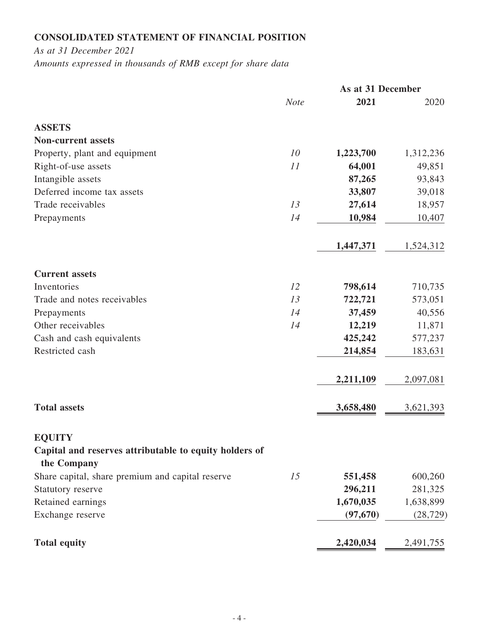# **CONSOLIDATED STATEMENT OF FINANCIAL POSITION**

*As at 31 December 2021 Amounts expressed in thousands of RMB except for share data*

|                                                                       |             | As at 31 December |           |
|-----------------------------------------------------------------------|-------------|-------------------|-----------|
|                                                                       | <b>Note</b> | 2021              | 2020      |
| <b>ASSETS</b>                                                         |             |                   |           |
| <b>Non-current assets</b>                                             |             |                   |           |
| Property, plant and equipment                                         | 10          | 1,223,700         | 1,312,236 |
| Right-of-use assets                                                   | 11          | 64,001            | 49,851    |
| Intangible assets                                                     |             | 87,265            | 93,843    |
| Deferred income tax assets                                            |             | 33,807            | 39,018    |
| Trade receivables                                                     | 13          | 27,614            | 18,957    |
| Prepayments                                                           | 14          | 10,984            | 10,407    |
|                                                                       |             | 1,447,371         | 1,524,312 |
| <b>Current assets</b>                                                 |             |                   |           |
| Inventories                                                           | 12          | 798,614           | 710,735   |
| Trade and notes receivables                                           | 13          | 722,721           | 573,051   |
| Prepayments                                                           | 14          | 37,459            | 40,556    |
| Other receivables                                                     | 14          | 12,219            | 11,871    |
| Cash and cash equivalents                                             |             | 425,242           | 577,237   |
| Restricted cash                                                       |             | 214,854           | 183,631   |
|                                                                       |             | 2,211,109         | 2,097,081 |
| <b>Total assets</b>                                                   |             | 3,658,480         | 3,621,393 |
| <b>EQUITY</b>                                                         |             |                   |           |
| Capital and reserves attributable to equity holders of<br>the Company |             |                   |           |
| Share capital, share premium and capital reserve                      | 15          | 551,458           | 600,260   |
| Statutory reserve                                                     |             | 296,211           | 281,325   |
| Retained earnings                                                     |             | 1,670,035         | 1,638,899 |
| Exchange reserve                                                      |             | (97, 670)         | (28, 729) |
| <b>Total equity</b>                                                   |             | 2,420,034         | 2,491,755 |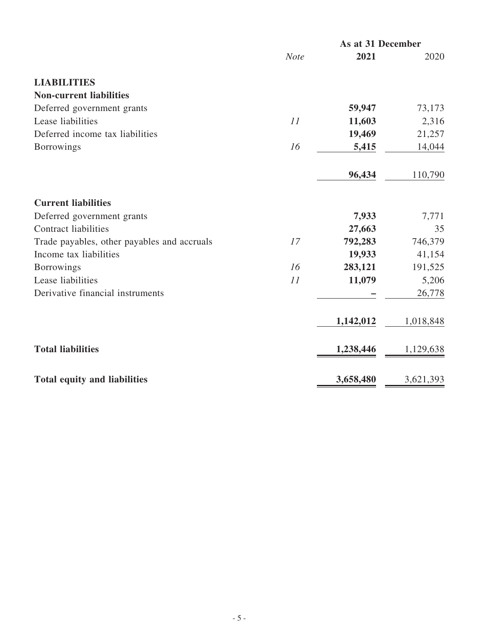|                                             | As at 31 December |           |           |
|---------------------------------------------|-------------------|-----------|-----------|
|                                             | <b>Note</b>       | 2021      | 2020      |
| <b>LIABILITIES</b>                          |                   |           |           |
| <b>Non-current liabilities</b>              |                   |           |           |
| Deferred government grants                  |                   | 59,947    | 73,173    |
| Lease liabilities                           | 11                | 11,603    | 2,316     |
| Deferred income tax liabilities             |                   | 19,469    | 21,257    |
| <b>Borrowings</b>                           | 16                | 5,415     | 14,044    |
|                                             |                   | 96,434    | 110,790   |
| <b>Current liabilities</b>                  |                   |           |           |
| Deferred government grants                  |                   | 7,933     | 7,771     |
| <b>Contract liabilities</b>                 |                   | 27,663    | 35        |
| Trade payables, other payables and accruals | 17                | 792,283   | 746,379   |
| Income tax liabilities                      |                   | 19,933    | 41,154    |
| <b>Borrowings</b>                           | 16                | 283,121   | 191,525   |
| Lease liabilities                           | 11                | 11,079    | 5,206     |
| Derivative financial instruments            |                   |           | 26,778    |
|                                             |                   | 1,142,012 | 1,018,848 |
| <b>Total liabilities</b>                    |                   | 1,238,446 | 1,129,638 |
| <b>Total equity and liabilities</b>         |                   | 3,658,480 | 3,621,393 |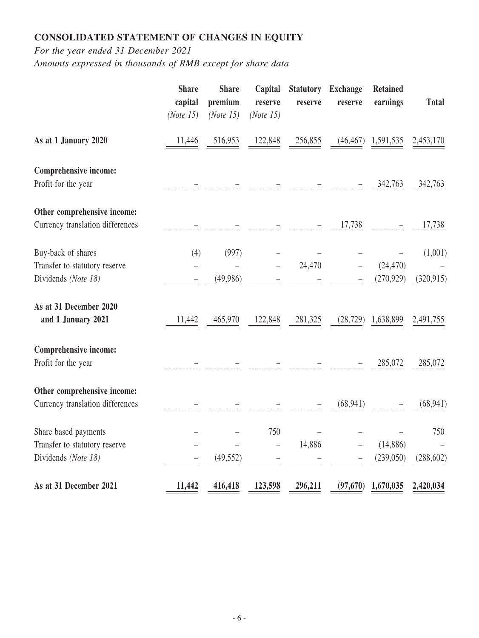# **CONSOLIDATED STATEMENT OF CHANGES IN EQUITY**

*For the year ended 31 December 2021*

*Amounts expressed in thousands of RMB except for share data*

|                                                                              | <b>Share</b><br>capital<br>(Note 15) | <b>Share</b><br>premium<br>(Note 15) | Capital<br>reserve<br>(Note 15) | <b>Statutory</b><br>reserve | <b>Exchange</b><br>reserve | <b>Retained</b><br>earnings | <b>Total</b>          |
|------------------------------------------------------------------------------|--------------------------------------|--------------------------------------|---------------------------------|-----------------------------|----------------------------|-----------------------------|-----------------------|
| As at 1 January 2020                                                         | 11,446                               | 516,953                              | 122,848                         | 256,855                     | (46, 467)                  | 1,591,535                   | 2,453,170             |
| Comprehensive income:<br>Profit for the year                                 |                                      |                                      |                                 |                             |                            | 342,763                     | 342,763               |
| Other comprehensive income:<br>Currency translation differences              |                                      |                                      |                                 |                             | 17,738                     |                             | 17,738                |
| Buy-back of shares<br>Transfer to statutory reserve<br>Dividends (Note 18)   | (4)<br>$\qquad \qquad -$             | (997)<br>(49,986)                    |                                 | 24,470                      |                            | (24, 470)<br>(270, 929)     | (1,001)<br>(320, 915) |
| As at 31 December 2020<br>and 1 January 2021                                 | 11,442                               | 465,970                              | 122,848                         | 281,325                     | (28, 729)                  | 1,638,899                   | 2,491,755             |
| <b>Comprehensive income:</b><br>Profit for the year                          |                                      |                                      |                                 |                             |                            | 285,072                     | 285,072               |
| Other comprehensive income:<br>Currency translation differences              |                                      |                                      |                                 |                             | (68, 941)                  |                             | (68, 941)             |
| Share based payments<br>Transfer to statutory reserve<br>Dividends (Note 18) |                                      | (49, 552)                            | 750<br>$\qquad \qquad -$        | 14,886                      |                            | (14, 886)<br>(239,050)      | 750<br>(288, 602)     |
| As at 31 December 2021                                                       | 11,442                               | 416,418                              | 123,598                         | 296,211                     | (97, 670)                  | 1,670,035                   | 2,420,034             |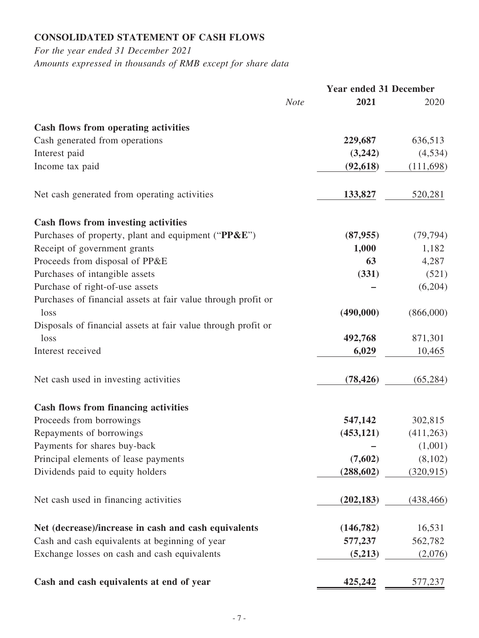# **CONSOLIDATED STATEMENT OF CASH FLOWS**

*For the year ended 31 December 2021 Amounts expressed in thousands of RMB except for share data*

|                                                               | <b>Year ended 31 December</b> |            |            |
|---------------------------------------------------------------|-------------------------------|------------|------------|
|                                                               | <b>Note</b>                   | 2021       | 2020       |
| Cash flows from operating activities                          |                               |            |            |
| Cash generated from operations                                |                               | 229,687    | 636,513    |
| Interest paid                                                 |                               | (3,242)    | (4, 534)   |
| Income tax paid                                               |                               | (92, 618)  | (111,698)  |
| Net cash generated from operating activities                  |                               | 133,827    | 520,281    |
| <b>Cash flows from investing activities</b>                   |                               |            |            |
| Purchases of property, plant and equipment ("PP&E")           |                               | (87, 955)  | (79, 794)  |
| Receipt of government grants                                  |                               | 1,000      | 1,182      |
| Proceeds from disposal of PP&E                                |                               | 63         | 4,287      |
| Purchases of intangible assets                                |                               | (331)      | (521)      |
| Purchase of right-of-use assets                               |                               |            | (6,204)    |
| Purchases of financial assets at fair value through profit or |                               |            |            |
| loss                                                          |                               | (490,000)  | (866,000)  |
| Disposals of financial assets at fair value through profit or |                               |            |            |
| loss                                                          |                               | 492,768    | 871,301    |
| Interest received                                             |                               | 6,029      | 10,465     |
| Net cash used in investing activities                         |                               | (78, 426)  | (65, 284)  |
| <b>Cash flows from financing activities</b>                   |                               |            |            |
| Proceeds from borrowings                                      |                               | 547,142    | 302,815    |
| Repayments of borrowings                                      |                               | (453, 121) | (411,263)  |
| Payments for shares buy-back                                  |                               |            | (1,001)    |
| Principal elements of lease payments                          |                               | (7,602)    | (8,102)    |
| Dividends paid to equity holders                              |                               | (288, 602) | (320, 915) |
| Net cash used in financing activities                         |                               | (202, 183) | (438, 466) |
| Net (decrease)/increase in cash and cash equivalents          |                               | (146, 782) | 16,531     |
| Cash and cash equivalents at beginning of year                |                               | 577,237    | 562,782    |
| Exchange losses on cash and cash equivalents                  |                               | (5,213)    | (2,076)    |
| Cash and cash equivalents at end of year                      |                               | 425,242    | 577,237    |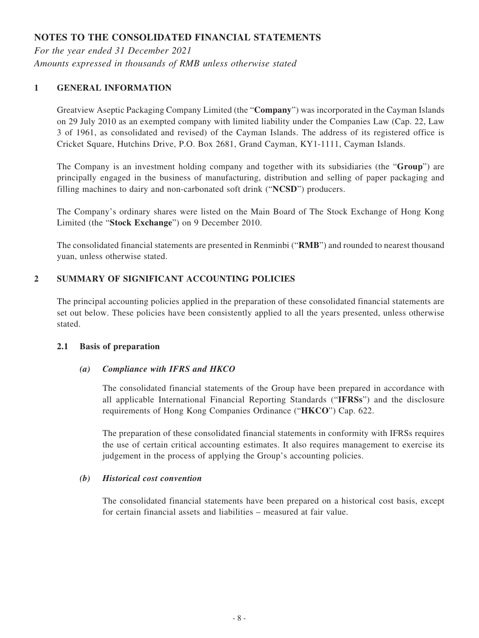# **NOTES TO THE CONSOLIDATED FINANCIAL STATEMENTS**

*For the year ended 31 December 2021 Amounts expressed in thousands of RMB unless otherwise stated*

### **1 GENERAL INFORMATION**

Greatview Aseptic Packaging Company Limited (the "**Company**") was incorporated in the Cayman Islands on 29 July 2010 as an exempted company with limited liability under the Companies Law (Cap. 22, Law 3 of 1961, as consolidated and revised) of the Cayman Islands. The address of its registered office is Cricket Square, Hutchins Drive, P.O. Box 2681, Grand Cayman, KY1-1111, Cayman Islands.

The Company is an investment holding company and together with its subsidiaries (the "**Group**") are principally engaged in the business of manufacturing, distribution and selling of paper packaging and filling machines to dairy and non-carbonated soft drink ("**NCSD**") producers.

The Company's ordinary shares were listed on the Main Board of The Stock Exchange of Hong Kong Limited (the "**Stock Exchange**") on 9 December 2010.

The consolidated financial statements are presented in Renminbi ("**RMB**") and rounded to nearest thousand yuan, unless otherwise stated.

### **2 SUMMARY OF SIGNIFICANT ACCOUNTING POLICIES**

The principal accounting policies applied in the preparation of these consolidated financial statements are set out below. These policies have been consistently applied to all the years presented, unless otherwise stated.

#### **2.1 Basis of preparation**

#### *(a) Compliance with IFRS and HKCO*

The consolidated financial statements of the Group have been prepared in accordance with all applicable International Financial Reporting Standards ("**IFRSs**") and the disclosure requirements of Hong Kong Companies Ordinance ("**HKCO**") Cap. 622.

The preparation of these consolidated financial statements in conformity with IFRSs requires the use of certain critical accounting estimates. It also requires management to exercise its judgement in the process of applying the Group's accounting policies.

#### *(b) Historical cost convention*

The consolidated financial statements have been prepared on a historical cost basis, except for certain financial assets and liabilities – measured at fair value.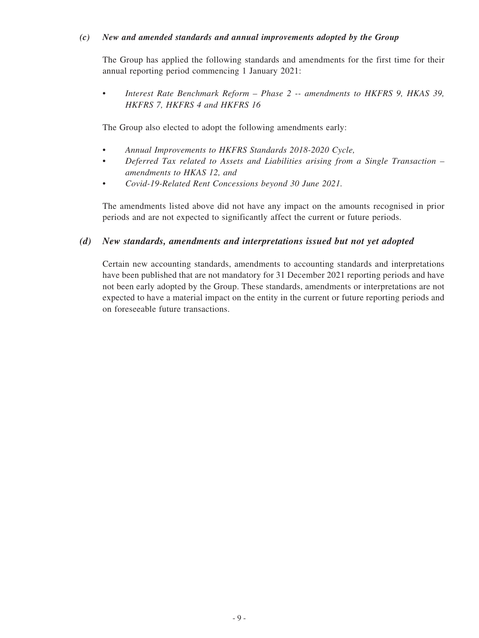#### *(c) New and amended standards and annual improvements adopted by the Group*

The Group has applied the following standards and amendments for the first time for their annual reporting period commencing 1 January 2021:

*• Interest Rate Benchmark Reform – Phase 2 -- amendments to HKFRS 9, HKAS 39, HKFRS 7, HKFRS 4 and HKFRS 16*

The Group also elected to adopt the following amendments early:

- *• Annual Improvements to HKFRS Standards 2018-2020 Cycle,*
- *• Deferred Tax related to Assets and Liabilities arising from a Single Transaction amendments to HKAS 12, and*
- *• Covid-19-Related Rent Concessions beyond 30 June 2021.*

The amendments listed above did not have any impact on the amounts recognised in prior periods and are not expected to significantly affect the current or future periods.

### *(d) New standards, amendments and interpretations issued but not yet adopted*

Certain new accounting standards, amendments to accounting standards and interpretations have been published that are not mandatory for 31 December 2021 reporting periods and have not been early adopted by the Group. These standards, amendments or interpretations are not expected to have a material impact on the entity in the current or future reporting periods and on foreseeable future transactions.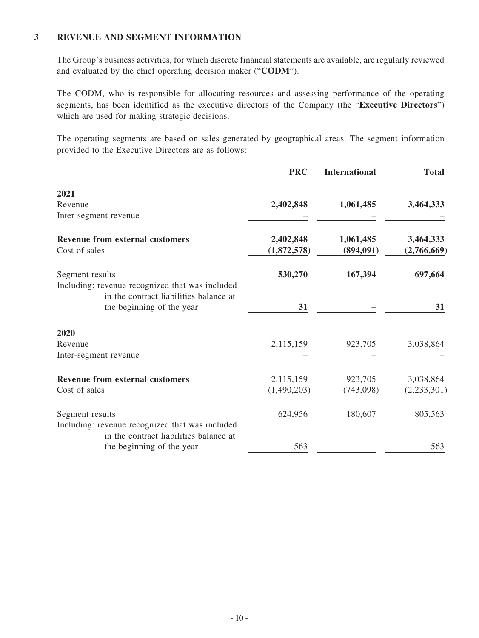### **3 REVENUE AND SEGMENT INFORMATION**

The Group's business activities, for which discrete financial statements are available, are regularly reviewed and evaluated by the chief operating decision maker ("**CODM**").

The CODM, who is responsible for allocating resources and assessing performance of the operating segments, has been identified as the executive directors of the Company (the "**Executive Directors**") which are used for making strategic decisions.

The operating segments are based on sales generated by geographical areas. The segment information provided to the Executive Directors are as follows:

|                                                 | <b>PRC</b>  | <b>International</b> | <b>Total</b>  |
|-------------------------------------------------|-------------|----------------------|---------------|
| 2021                                            |             |                      |               |
| Revenue                                         | 2,402,848   | 1,061,485            | 3,464,333     |
| Inter-segment revenue                           |             |                      |               |
| <b>Revenue from external customers</b>          | 2,402,848   | 1,061,485            | 3,464,333     |
| Cost of sales                                   | (1,872,578) | (894,091)            | (2,766,669)   |
| Segment results                                 | 530,270     | 167,394              | 697,664       |
| Including: revenue recognized that was included |             |                      |               |
| in the contract liabilities balance at          |             |                      |               |
| the beginning of the year                       | 31          |                      | 31            |
| 2020                                            |             |                      |               |
| Revenue                                         | 2,115,159   | 923,705              | 3,038,864     |
| Inter-segment revenue                           |             |                      |               |
| <b>Revenue from external customers</b>          | 2,115,159   | 923,705              | 3,038,864     |
| Cost of sales                                   | (1,490,203) | (743,098)            | (2, 233, 301) |
| Segment results                                 | 624,956     | 180,607              | 805,563       |
| Including: revenue recognized that was included |             |                      |               |
| in the contract liabilities balance at          |             |                      |               |
| the beginning of the year                       | 563         |                      | 563           |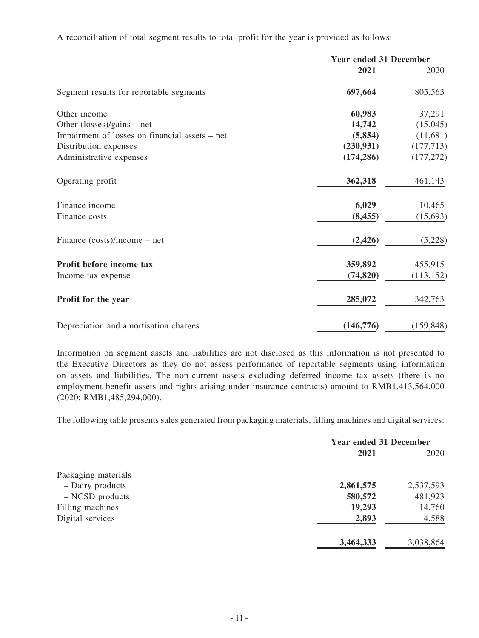A reconciliation of total segment results to total profit for the year is provided as follows:

|                                                | <b>Year ended 31 December</b> |            |
|------------------------------------------------|-------------------------------|------------|
|                                                | 2021                          | 2020       |
| Segment results for reportable segments        | 697,664                       | 805,563    |
| Other income                                   | 60,983                        | 37,291     |
| Other $(\text{losses})/\text{gains}$ – net     | 14,742                        | (15,045)   |
| Impairment of losses on financial assets – net | (5,854)                       | (11,681)   |
| Distribution expenses                          | (230, 931)                    | (177, 713) |
| Administrative expenses                        | (174, 286)                    | (177, 272) |
| Operating profit                               | 362,318                       | 461,143    |
| Finance income                                 | 6,029                         | 10,465     |
| Finance costs                                  | (8, 455)                      | (15, 693)  |
| Finance (costs)/income – net                   | (2, 426)                      | (5,228)    |
| Profit before income tax                       | 359,892                       | 455,915    |
| Income tax expense                             | (74, 820)                     | (113, 152) |
| Profit for the year                            | 285,072                       | 342,763    |
| Depreciation and amortisation charges          | (146, 776)                    | (159, 848) |

Information on segment assets and liabilities are not disclosed as this information is not presented to the Executive Directors as they do not assess performance of reportable segments using information on assets and liabilities. The non-current assets excluding deferred income tax assets (there is no employment benefit assets and rights arising under insurance contracts) amount to RMB1,413,564,000 (2020: RMB1,485,294,000).

The following table presents sales generated from packaging materials, filling machines and digital services:

|                     | <b>Year ended 31 December</b> |           |
|---------------------|-------------------------------|-----------|
|                     | 2021                          | 2020      |
| Packaging materials |                               |           |
| - Dairy products    | 2,861,575                     | 2,537,593 |
| $-$ NCSD products   | 580,572                       | 481,923   |
| Filling machines    | 19,293                        | 14,760    |
| Digital services    | 2,893                         | 4,588     |
|                     | 3,464,333                     | 3,038,864 |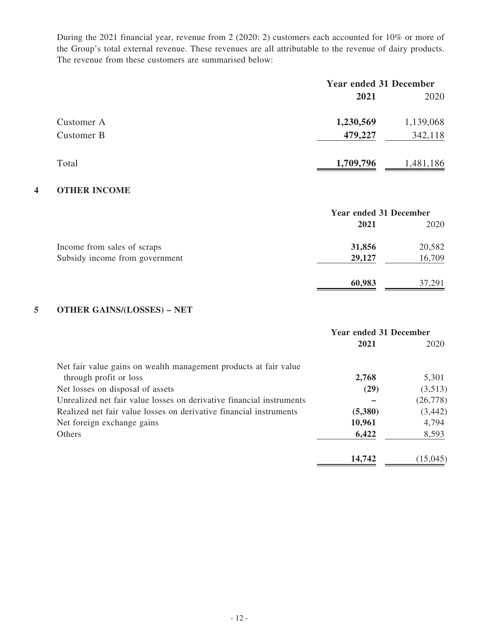During the 2021 financial year, revenue from 2 (2020: 2) customers each accounted for 10% or more of the Group's total external revenue. These revenues are all attributable to the revenue of dairy products. The revenue from these customers are summarised below:

|            | <b>Year ended 31 December</b> |           |  |
|------------|-------------------------------|-----------|--|
|            | 2021                          | 2020      |  |
| Customer A | 1,230,569                     | 1,139,068 |  |
| Customer B | 479,227                       | 342,118   |  |
| Total      | 1,709,796                     | 1,481,186 |  |

### **4 OTHER INCOME**

|                                | <b>Year ended 31 December</b> |        |  |
|--------------------------------|-------------------------------|--------|--|
|                                | 2021                          | 2020   |  |
| Income from sales of scraps    | 31,856                        | 20,582 |  |
| Subsidy income from government | 29,127                        | 16,709 |  |
|                                | 60,983                        | 37,291 |  |

## **5 OTHER GAINS/(LOSSES) – NET**

|                                                                      | <b>Year ended 31 December</b> |          |
|----------------------------------------------------------------------|-------------------------------|----------|
|                                                                      | 2021                          | 2020     |
| Net fair value gains on wealth management products at fair value     |                               |          |
| through profit or loss                                               | 2,768                         | 5,301    |
| Net losses on disposal of assets                                     | (29)                          | (3,513)  |
| Unrealized net fair value losses on derivative financial instruments |                               | (26,778) |
| Realized net fair value losses on derivative financial instruments   | (5,380)                       | (3, 442) |
| Net foreign exchange gains                                           | 10,961                        | 4,794    |
| <b>Others</b>                                                        | 6,422                         | 8,593    |
|                                                                      | 14,742                        | (15,045) |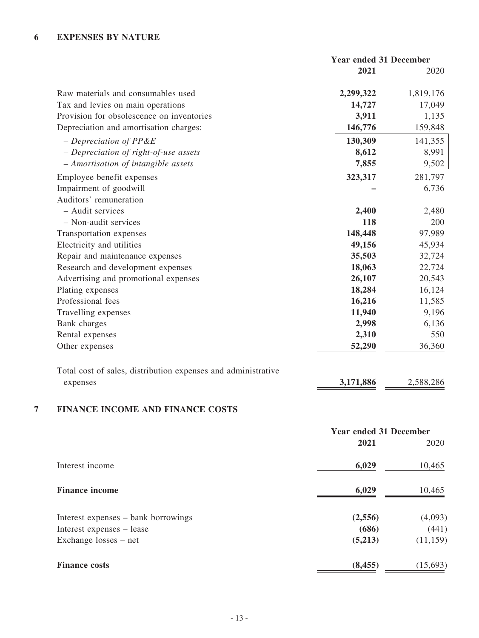|                                                               | <b>Year ended 31 December</b> |           |
|---------------------------------------------------------------|-------------------------------|-----------|
|                                                               | 2021                          | 2020      |
| Raw materials and consumables used                            | 2,299,322                     | 1,819,176 |
| Tax and levies on main operations                             | 14,727                        | 17,049    |
| Provision for obsolescence on inventories                     | 3,911                         | 1,135     |
| Depreciation and amortisation charges:                        | 146,776                       | 159,848   |
| $-Depreciation of PP&E$                                       | 130,309                       | 141,355   |
| - Depreciation of right-of-use assets                         | 8,612                         | 8,991     |
| - Amortisation of intangible assets                           | 7,855                         | 9,502     |
| Employee benefit expenses                                     | 323,317                       | 281,797   |
| Impairment of goodwill                                        |                               | 6,736     |
| Auditors' remuneration                                        |                               |           |
| - Audit services                                              | 2,400                         | 2,480     |
| - Non-audit services                                          | 118                           | 200       |
| Transportation expenses                                       | 148,448                       | 97,989    |
| Electricity and utilities                                     | 49,156                        | 45,934    |
| Repair and maintenance expenses                               | 35,503                        | 32,724    |
| Research and development expenses                             | 18,063                        | 22,724    |
| Advertising and promotional expenses                          | 26,107                        | 20,543    |
| Plating expenses                                              | 18,284                        | 16,124    |
| Professional fees                                             | 16,216                        | 11,585    |
| Travelling expenses                                           | 11,940                        | 9,196     |
| Bank charges                                                  | 2,998                         | 6,136     |
| Rental expenses                                               | 2,310                         | 550       |
| Other expenses                                                | 52,290                        | 36,360    |
| Total cost of sales, distribution expenses and administrative |                               |           |
|                                                               |                               |           |
| expenses                                                      | 3,171,886                     | 2,588,286 |

# **7 FINANCE INCOME AND FINANCE COSTS**

|                                     | <b>Year ended 31 December</b> |           |  |
|-------------------------------------|-------------------------------|-----------|--|
|                                     | 2021                          | 2020      |  |
| Interest income                     | 6,029                         | 10,465    |  |
| <b>Finance income</b>               | 6,029                         | 10,465    |  |
| Interest expenses – bank borrowings | (2,556)                       | (4,093)   |  |
| Interest expenses - lease           | (686)                         | (441)     |  |
| Exchange losses – net               | (5,213)                       | (11, 159) |  |
| <b>Finance costs</b>                | (8, 455)                      | (15,693)  |  |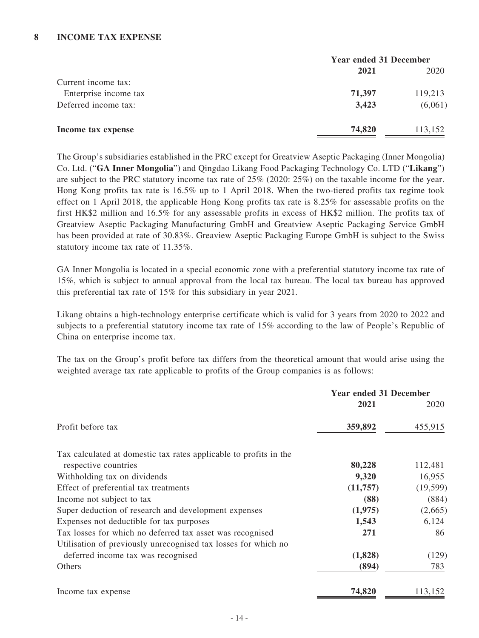|                       | <b>Year ended 31 December</b> |         |  |
|-----------------------|-------------------------------|---------|--|
|                       | 2021                          | 2020    |  |
| Current income tax:   |                               |         |  |
| Enterprise income tax | 71,397                        | 119,213 |  |
| Deferred income tax:  | 3,423                         | (6,061) |  |
| Income tax expense    | 74,820                        | 113,152 |  |

The Group's subsidiaries established in the PRC except for Greatview Aseptic Packaging (Inner Mongolia) Co. Ltd. ("**GA Inner Mongolia**") and Qingdao Likang Food Packaging Technology Co. LTD ("**Likang**") are subject to the PRC statutory income tax rate of 25% (2020: 25%) on the taxable income for the year. Hong Kong profits tax rate is 16.5% up to 1 April 2018. When the two-tiered profits tax regime took effect on 1 April 2018, the applicable Hong Kong profits tax rate is 8.25% for assessable profits on the first HK\$2 million and 16.5% for any assessable profits in excess of HK\$2 million. The profits tax of Greatview Aseptic Packaging Manufacturing GmbH and Greatview Aseptic Packaging Service GmbH has been provided at rate of 30.83%. Greaview Aseptic Packaging Europe GmbH is subject to the Swiss statutory income tax rate of 11.35%.

GA Inner Mongolia is located in a special economic zone with a preferential statutory income tax rate of 15%, which is subject to annual approval from the local tax bureau. The local tax bureau has approved this preferential tax rate of 15% for this subsidiary in year 2021.

Likang obtains a high-technology enterprise certificate which is valid for 3 years from 2020 to 2022 and subjects to a preferential statutory income tax rate of 15% according to the law of People's Republic of China on enterprise income tax.

The tax on the Group's profit before tax differs from the theoretical amount that would arise using the weighted average tax rate applicable to profits of the Group companies is as follows:

|                                                                   | <b>Year ended 31 December</b> |           |
|-------------------------------------------------------------------|-------------------------------|-----------|
|                                                                   | 2021                          | 2020      |
| Profit before tax                                                 | 359,892                       | 455,915   |
| Tax calculated at domestic tax rates applicable to profits in the |                               |           |
| respective countries                                              | 80,228                        | 112,481   |
| Withholding tax on dividends                                      | 9,320                         | 16,955    |
| Effect of preferential tax treatments                             | (11,757)                      | (19, 599) |
| Income not subject to tax                                         | (88)                          | (884)     |
| Super deduction of research and development expenses              | (1,975)                       | (2,665)   |
| Expenses not deductible for tax purposes                          | 1,543                         | 6,124     |
| Tax losses for which no deferred tax asset was recognised         | 271                           | 86        |
| Utilisation of previously unrecognised tax losses for which no    |                               |           |
| deferred income tax was recognised                                | (1,828)                       | (129)     |
| Others                                                            | (894)                         | 783       |
| Income tax expense                                                | 74,820                        | 113,152   |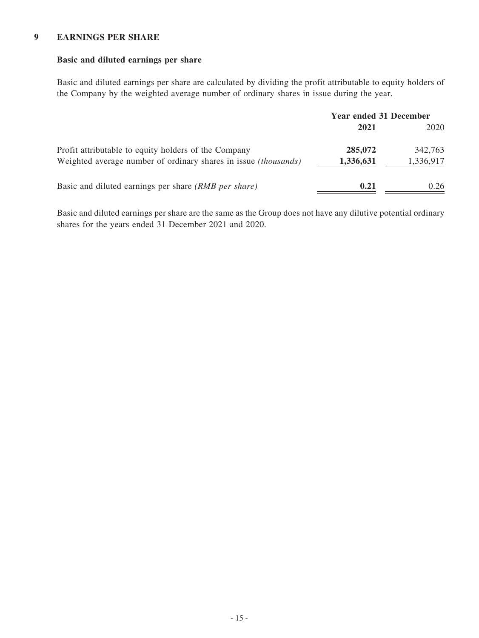#### **9 EARNINGS PER SHARE**

#### **Basic and diluted earnings per share**

Basic and diluted earnings per share are calculated by dividing the profit attributable to equity holders of the Company by the weighted average number of ordinary shares in issue during the year.

|                                                                                                                                | <b>Year ended 31 December</b> |                      |
|--------------------------------------------------------------------------------------------------------------------------------|-------------------------------|----------------------|
|                                                                                                                                | 2021                          | 2020                 |
| Profit attributable to equity holders of the Company<br>Weighted average number of ordinary shares in issue <i>(thousands)</i> | 285,072<br>1,336,631          | 342,763<br>1,336,917 |
| Basic and diluted earnings per share (RMB per share)                                                                           | 0.21                          | 0.26                 |

Basic and diluted earnings per share are the same as the Group does not have any dilutive potential ordinary shares for the years ended 31 December 2021 and 2020.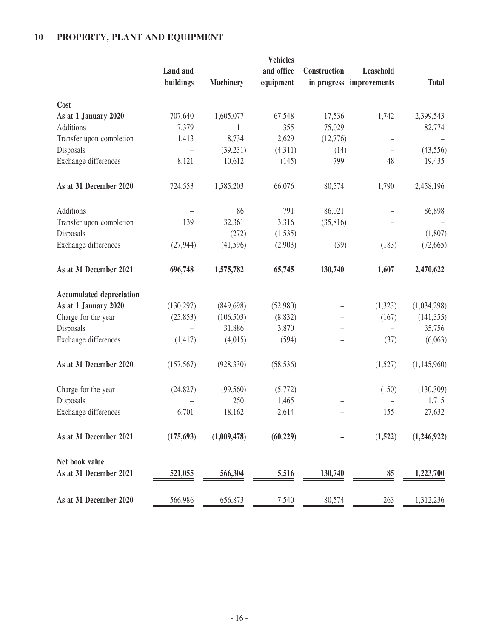# **10 PROPERTY, PLANT AND EQUIPMENT**

|                                 | <b>Land</b> and |                  | <b>Vehicles</b><br>and office | Construction | Leasehold                |              |
|---------------------------------|-----------------|------------------|-------------------------------|--------------|--------------------------|--------------|
|                                 | buildings       | <b>Machinery</b> | equipment                     |              | in progress improvements | <b>Total</b> |
| Cost                            |                 |                  |                               |              |                          |              |
| As at 1 January 2020            | 707,640         | 1,605,077        | 67,548                        | 17,536       | 1,742                    | 2,399,543    |
| Additions                       | 7,379           | 11               | 355                           | 75,029       |                          | 82,774       |
| Transfer upon completion        | 1,413           | 8,734            | 2,629                         | (12,776)     |                          |              |
| Disposals                       |                 | (39, 231)        | (4,311)                       | (14)         |                          | (43, 556)    |
| Exchange differences            | 8,121           | 10,612           | (145)                         | 799          | 48                       | 19,435       |
| As at 31 December 2020          | 724,553         | 1,585,203        | 66,076                        | 80,574       | 1,790                    | 2,458,196    |
| Additions                       |                 | 86               | 791                           | 86,021       |                          | 86,898       |
| Transfer upon completion        | 139             | 32,361           | 3,316                         | (35, 816)    |                          |              |
| Disposals                       |                 | (272)            | (1,535)                       |              |                          | (1,807)      |
| Exchange differences            | (27, 944)       | (41,596)         | (2,903)                       | (39)         | (183)                    | (72, 665)    |
| As at 31 December 2021          | 696,748         | 1,575,782        | 65,745                        | 130,740      | 1,607                    | 2,470,622    |
| <b>Accumulated depreciation</b> |                 |                  |                               |              |                          |              |
| As at 1 January 2020            | (130, 297)      | (849, 698)       | (52,980)                      |              | (1,323)                  | (1,034,298)  |
| Charge for the year             | (25, 853)       | (106, 503)       | (8, 832)                      |              | (167)                    | (141, 355)   |
| Disposals                       |                 | 31,886           | 3,870                         |              |                          | 35,756       |
| Exchange differences            | (1, 417)        | (4,015)          | (594)                         |              | (37)                     | (6,063)      |
| As at 31 December 2020          | (157, 567)      | (928, 330)       | (58, 536)                     |              | (1,527)                  | (1,145,960)  |
| Charge for the year             | (24, 827)       | (99, 560)        | (5,772)                       |              | (150)                    | (130, 309)   |
| Disposals                       |                 | 250              | 1,465                         |              |                          | 1,715        |
| Exchange differences            | 6,701           | 18,162           | 2,614                         |              | 155                      | 27,632       |
| As at 31 December 2021          | (175, 693)      | (1,009,478)      | (60, 229)                     |              | (1,522)                  | (1,246,922)  |
| Net book value                  |                 |                  |                               |              |                          |              |
| As at 31 December 2021          | 521,055         | 566,304          | 5,516                         | 130,740      | 85                       | 1,223,700    |
| As at 31 December 2020          | 566,986         | 656,873          | 7,540                         | 80,574       | 263                      | 1,312,236    |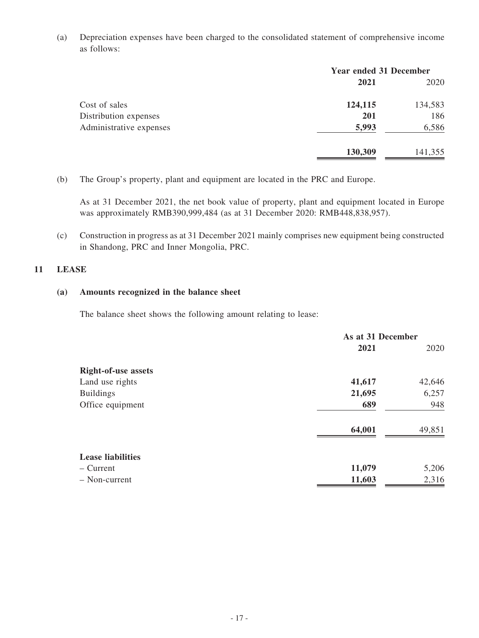(a) Depreciation expenses have been charged to the consolidated statement of comprehensive income as follows:

|                         | <b>Year ended 31 December</b> |         |  |
|-------------------------|-------------------------------|---------|--|
|                         | 2021                          | 2020    |  |
| Cost of sales           | 124,115                       | 134,583 |  |
| Distribution expenses   | <b>201</b>                    | 186     |  |
| Administrative expenses | 5,993                         | 6,586   |  |
|                         | 130,309                       | 141,355 |  |

(b) The Group's property, plant and equipment are located in the PRC and Europe.

As at 31 December 2021, the net book value of property, plant and equipment located in Europe was approximately RMB390,999,484 (as at 31 December 2020: RMB448,838,957).

(c) Construction in progress as at 31 December 2021 mainly comprises new equipment being constructed in Shandong, PRC and Inner Mongolia, PRC.

#### **11 LEASE**

#### **(a) Amounts recognized in the balance sheet**

The balance sheet shows the following amount relating to lease:

|                            | As at 31 December |        |
|----------------------------|-------------------|--------|
|                            | 2021              | 2020   |
| <b>Right-of-use assets</b> |                   |        |
| Land use rights            | 41,617            | 42,646 |
| <b>Buildings</b>           | 21,695            | 6,257  |
| Office equipment           | 689               | 948    |
|                            | 64,001            | 49,851 |
| <b>Lease liabilities</b>   |                   |        |
| $-$ Current                | 11,079            | 5,206  |
| - Non-current              | 11,603            | 2,316  |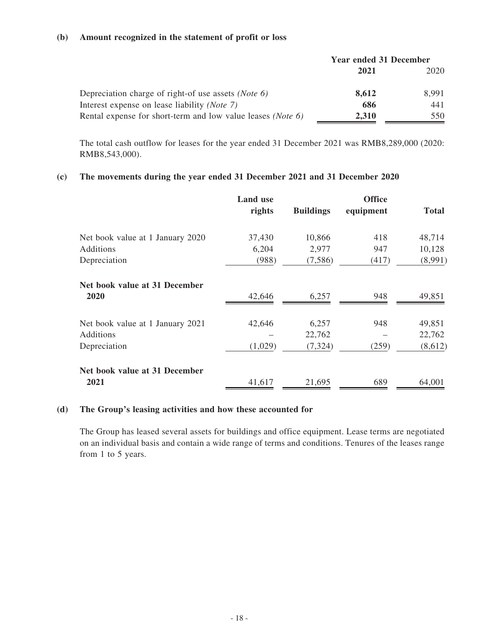#### **(b) Amount recognized in the statement of profit or loss**

|                                                                      | <b>Year ended 31 December</b> |       |
|----------------------------------------------------------------------|-------------------------------|-------|
|                                                                      | 2021                          | 2020  |
| Depreciation charge of right-of use assets ( <i>Note 6</i> )         | 8,612                         | 8.991 |
| Interest expense on lease liability ( <i>Note 7</i> )                | 686                           | 441   |
| Rental expense for short-term and low value leases ( <i>Note 6</i> ) | 2,310                         | 550   |

The total cash outflow for leases for the year ended 31 December 2021 was RMB8,289,000 (2020: RMB8,543,000).

#### **(c) The movements during the year ended 31 December 2021 and 31 December 2020**

|                                                               | <b>Land</b> use<br>rights | <b>Buildings</b>            | <b>Office</b><br>equipment | <b>Total</b>                |
|---------------------------------------------------------------|---------------------------|-----------------------------|----------------------------|-----------------------------|
| Net book value at 1 January 2020<br>Additions<br>Depreciation | 37,430<br>6,204<br>(988)  | 10,866<br>2,977<br>(7,586)  | 418<br>947<br>(417)        | 48,714<br>10,128<br>(8,991) |
| Net book value at 31 December<br>2020                         | 42,646                    | 6,257                       | 948                        | 49,851                      |
| Net book value at 1 January 2021<br>Additions<br>Depreciation | 42,646<br>(1,029)         | 6,257<br>22,762<br>(7, 324) | 948<br>(259)               | 49,851<br>22,762<br>(8,612) |
| Net book value at 31 December<br>2021                         | 41,617                    | 21,695                      | 689                        | 64,001                      |

#### **(d) The Group's leasing activities and how these accounted for**

The Group has leased several assets for buildings and office equipment. Lease terms are negotiated on an individual basis and contain a wide range of terms and conditions. Tenures of the leases range from 1 to 5 years.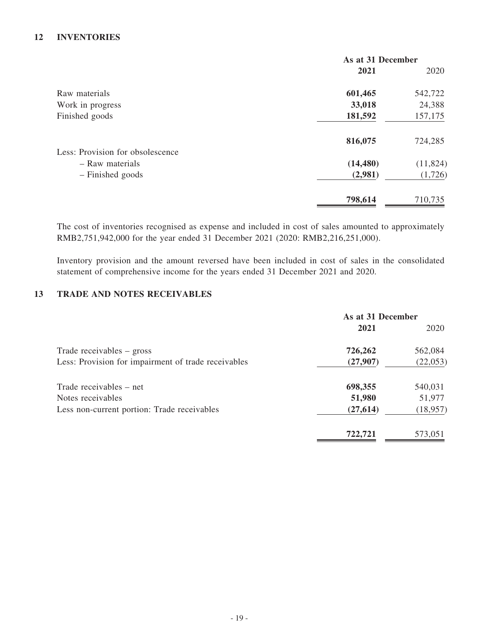### **12 INVENTORIES**

|                                  | As at 31 December |           |
|----------------------------------|-------------------|-----------|
|                                  | 2021              | 2020      |
| Raw materials                    | 601,465           | 542,722   |
| Work in progress                 | 33,018            | 24,388    |
| Finished goods                   | 181,592           | 157,175   |
|                                  | 816,075           | 724,285   |
| Less: Provision for obsolescence |                   |           |
| - Raw materials                  | (14, 480)         | (11, 824) |
| - Finished goods                 | (2,981)           | (1,726)   |
|                                  | 798,614           | 710,735   |

The cost of inventories recognised as expense and included in cost of sales amounted to approximately RMB2,751,942,000 for the year ended 31 December 2021 (2020: RMB2,216,251,000).

Inventory provision and the amount reversed have been included in cost of sales in the consolidated statement of comprehensive income for the years ended 31 December 2021 and 2020.

### **13 TRADE AND NOTES RECEIVABLES**

|                                                     | As at 31 December |           |
|-----------------------------------------------------|-------------------|-----------|
|                                                     | 2021              | 2020      |
| Trade receivables – gross                           | 726,262           | 562,084   |
| Less: Provision for impairment of trade receivables | (27,907)          | (22, 053) |
| Trade receivables – net                             | 698,355           | 540,031   |
| Notes receivables                                   | 51,980            | 51,977    |
| Less non-current portion: Trade receivables         | (27, 614)         | (18, 957) |
|                                                     | 722.721           | 573,051   |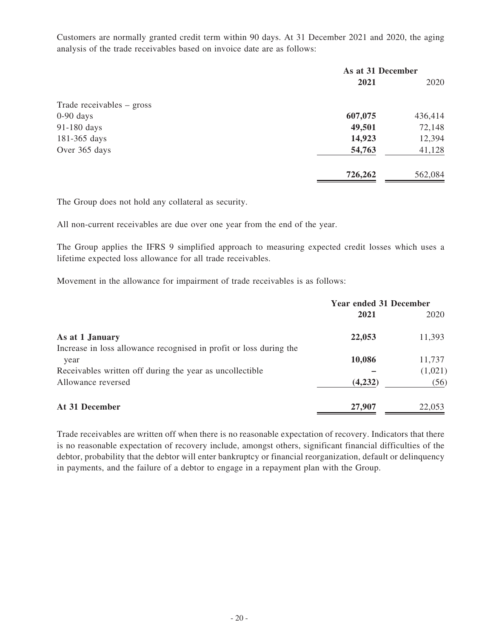Customers are normally granted credit term within 90 days. At 31 December 2021 and 2020, the aging analysis of the trade receivables based on invoice date are as follows:

|                           | As at 31 December |         |
|---------------------------|-------------------|---------|
|                           | 2021              | 2020    |
| Trade receivables – gross |                   |         |
| $0-90$ days               | 607,075           | 436,414 |
| 91-180 days               | 49,501            | 72,148  |
| 181-365 days              | 14,923            | 12,394  |
| Over 365 days             | 54,763            | 41,128  |
|                           | 726,262           | 562,084 |

The Group does not hold any collateral as security.

All non-current receivables are due over one year from the end of the year.

The Group applies the IFRS 9 simplified approach to measuring expected credit losses which uses a lifetime expected loss allowance for all trade receivables.

Movement in the allowance for impairment of trade receivables is as follows:

|                                                                    | <b>Year ended 31 December</b> |         |
|--------------------------------------------------------------------|-------------------------------|---------|
|                                                                    | 2021                          | 2020    |
| As at 1 January                                                    | 22,053                        | 11,393  |
| Increase in loss allowance recognised in profit or loss during the |                               |         |
| year                                                               | 10,086                        | 11,737  |
| Receivables written off during the year as uncollectible           |                               | (1,021) |
| Allowance reversed                                                 | (4,232)                       | (56)    |
| At 31 December                                                     | 27,907                        | 22,053  |

Trade receivables are written off when there is no reasonable expectation of recovery. Indicators that there is no reasonable expectation of recovery include, amongst others, significant financial difficulties of the debtor, probability that the debtor will enter bankruptcy or financial reorganization, default or delinquency in payments, and the failure of a debtor to engage in a repayment plan with the Group.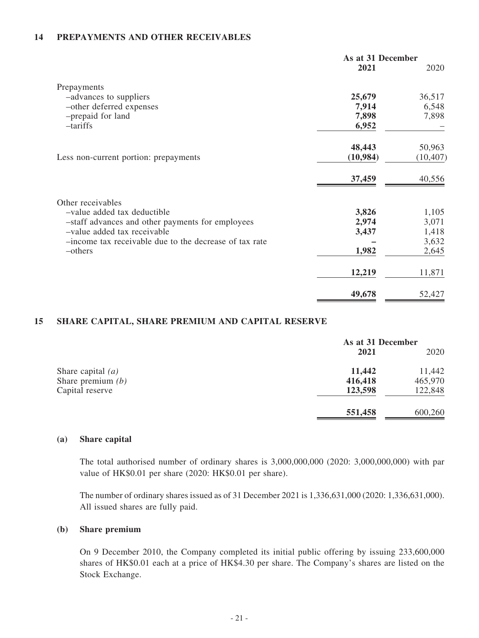### **14 PREPAYMENTS AND OTHER RECEIVABLES**

|                                                        | As at 31 December |           |
|--------------------------------------------------------|-------------------|-----------|
|                                                        | 2021              | 2020      |
| Prepayments                                            |                   |           |
| -advances to suppliers                                 | 25,679            | 36,517    |
| -other deferred expenses                               | 7,914             | 6,548     |
| -prepaid for land                                      | 7,898             | 7,898     |
| $-tariffs$                                             | 6,952             |           |
|                                                        | 48,443            | 50,963    |
| Less non-current portion: prepayments                  | (10,984)          | (10, 407) |
|                                                        | 37,459            | 40,556    |
| Other receivables                                      |                   |           |
| -value added tax deductible                            | 3,826             | 1,105     |
| -staff advances and other payments for employees       | 2,974             | 3,071     |
| -value added tax receivable                            | 3,437             | 1,418     |
| -income tax receivable due to the decrease of tax rate |                   | 3,632     |
| -others                                                | 1,982             | 2,645     |
|                                                        | 12,219            | 11,871    |
|                                                        | 49,678            | 52,427    |

### **15 SHARE CAPITAL, SHARE PREMIUM AND CAPITAL RESERVE**

|                     | As at 31 December |         |
|---------------------|-------------------|---------|
|                     | 2021              | 2020    |
| Share capital $(a)$ | 11,442            | 11,442  |
| Share premium $(b)$ | 416,418           | 465,970 |
| Capital reserve     | 123,598           | 122,848 |
|                     | 551,458           | 600,260 |

#### **(a) Share capital**

The total authorised number of ordinary shares is 3,000,000,000 (2020: 3,000,000,000) with par value of HK\$0.01 per share (2020: HK\$0.01 per share).

The number of ordinary shares issued as of 31 December 2021 is 1,336,631,000 (2020: 1,336,631,000). All issued shares are fully paid.

#### **(b) Share premium**

On 9 December 2010, the Company completed its initial public offering by issuing 233,600,000 shares of HK\$0.01 each at a price of HK\$4.30 per share. The Company's shares are listed on the Stock Exchange.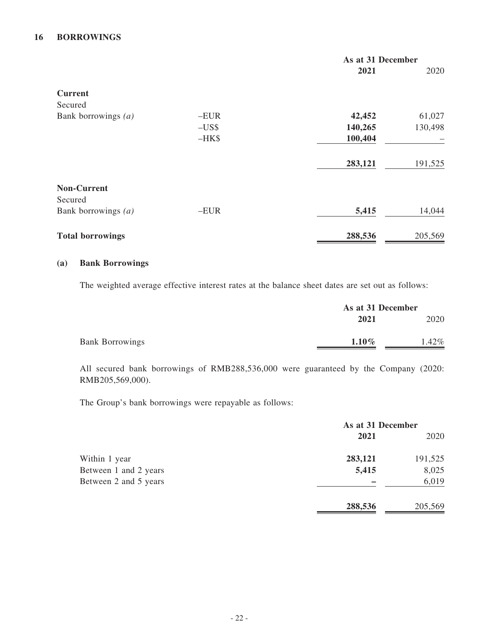### **16 BORROWINGS**

|                         |        | As at 31 December |         |
|-------------------------|--------|-------------------|---------|
|                         |        | 2021              | 2020    |
| <b>Current</b>          |        |                   |         |
| Secured                 |        |                   |         |
| Bank borrowings $(a)$   | $-EUR$ | 42,452            | 61,027  |
|                         | $-US$  | 140,265           | 130,498 |
|                         | $-HK$$ | 100,404           |         |
|                         |        | 283,121           | 191,525 |
| <b>Non-Current</b>      |        |                   |         |
| Secured                 |        |                   |         |
| Bank borrowings $(a)$   | $-EUR$ | 5,415             | 14,044  |
| <b>Total borrowings</b> |        | 288,536           | 205,569 |

#### **(a) Bank Borrowings**

The weighted average effective interest rates at the balance sheet dates are set out as follows:

|                        | As at 31 December |       |
|------------------------|-------------------|-------|
|                        | 2021              | 2020  |
| <b>Bank Borrowings</b> | $1.10\%$          | 1.42% |

All secured bank borrowings of RMB288,536,000 were guaranteed by the Company (2020: RMB205,569,000).

The Group's bank borrowings were repayable as follows:

|                       | As at 31 December |         |
|-----------------------|-------------------|---------|
|                       | 2021              | 2020    |
| Within 1 year         | 283,121           | 191,525 |
| Between 1 and 2 years | 5,415             | 8,025   |
| Between 2 and 5 years |                   | 6,019   |
|                       | 288,536           | 205,569 |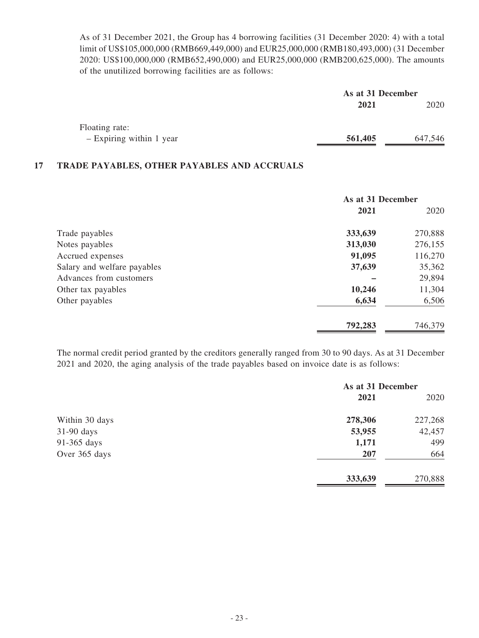As of 31 December 2021, the Group has 4 borrowing facilities (31 December 2020: 4) with a total limit of US\$105,000,000 (RMB669,449,000) and EUR25,000,000 (RMB180,493,000) (31 December 2020: US\$100,000,000 (RMB652,490,000) and EUR25,000,000 (RMB200,625,000). The amounts of the unutilized borrowing facilities are as follows:

|                          | As at 31 December |         |
|--------------------------|-------------------|---------|
|                          | 2021              | 2020    |
| Floating rate:           |                   |         |
| - Expiring within 1 year | 561,405           | 647,546 |

#### **17 TRADE PAYABLES, OTHER PAYABLES AND ACCRUALS**

|                             | As at 31 December |         |
|-----------------------------|-------------------|---------|
|                             | 2021              | 2020    |
| Trade payables              | 333,639           | 270,888 |
| Notes payables              | 313,030           | 276,155 |
| Accrued expenses            | 91,095            | 116,270 |
| Salary and welfare payables | 37,639            | 35,362  |
| Advances from customers     |                   | 29,894  |
| Other tax payables          | 10,246            | 11,304  |
| Other payables              | 6,634             | 6,506   |
|                             | 792,283           | 746,379 |

The normal credit period granted by the creditors generally ranged from 30 to 90 days. As at 31 December 2021 and 2020, the aging analysis of the trade payables based on invoice date is as follows:

|                | As at 31 December |         |
|----------------|-------------------|---------|
|                | 2021              | 2020    |
| Within 30 days | 278,306           | 227,268 |
| $31-90$ days   | 53,955            | 42,457  |
| 91-365 days    | 1,171             | 499     |
| Over 365 days  | 207               | 664     |
|                | 333,639           | 270,888 |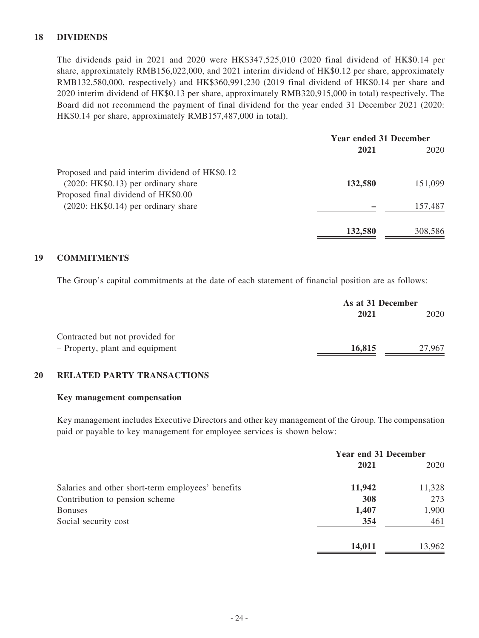### **18 DIVIDENDS**

The dividends paid in 2021 and 2020 were HK\$347,525,010 (2020 final dividend of HK\$0.14 per share, approximately RMB156,022,000, and 2021 interim dividend of HK\$0.12 per share, approximately RMB132,580,000, respectively) and HK\$360,991,230 (2019 final dividend of HK\$0.14 per share and 2020 interim dividend of HK\$0.13 per share, approximately RMB320,915,000 in total) respectively. The Board did not recommend the payment of final dividend for the year ended 31 December 2021 (2020: HK\$0.14 per share, approximately RMB157,487,000 in total).

|                                                | <b>Year ended 31 December</b> |         |
|------------------------------------------------|-------------------------------|---------|
|                                                | 2021                          | 2020    |
| Proposed and paid interim dividend of HK\$0.12 |                               |         |
| $(2020: HK$0.13)$ per ordinary share           | 132,580                       | 151,099 |
| Proposed final dividend of HK\$0.00            |                               |         |
| $(2020: HK$0.14)$ per ordinary share           |                               | 157,487 |
|                                                | 132,580                       | 308,586 |

### **19 COMMITMENTS**

The Group's capital commitments at the date of each statement of financial position are as follows:

|                                 | As at 31 December |        |
|---------------------------------|-------------------|--------|
|                                 | 2021              | 2020   |
| Contracted but not provided for |                   |        |
| - Property, plant and equipment | 16,815            | 27,967 |

#### **20 RELATED PARTY TRANSACTIONS**

#### **Key management compensation**

Key management includes Executive Directors and other key management of the Group. The compensation paid or payable to key management for employee services is shown below:

|                                                   | <b>Year end 31 December</b> |        |
|---------------------------------------------------|-----------------------------|--------|
|                                                   | 2021                        | 2020   |
| Salaries and other short-term employees' benefits | 11,942                      | 11,328 |
| Contribution to pension scheme                    | 308                         | 273    |
| <b>Bonuses</b>                                    | 1,407                       | 1,900  |
| Social security cost                              | 354                         | 461    |
|                                                   | 14,011                      | 13,962 |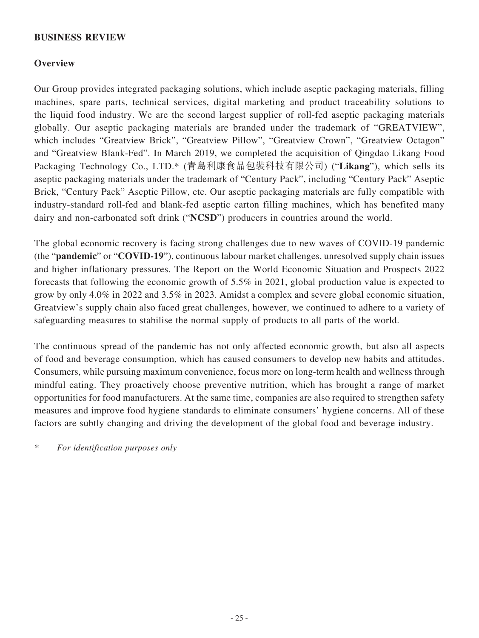### **BUSINESS REVIEW**

### **Overview**

Our Group provides integrated packaging solutions, which include aseptic packaging materials, filling machines, spare parts, technical services, digital marketing and product traceability solutions to the liquid food industry. We are the second largest supplier of roll-fed aseptic packaging materials globally. Our aseptic packaging materials are branded under the trademark of "GREATVIEW", which includes "Greatview Brick", "Greatview Pillow", "Greatview Crown", "Greatview Octagon" and "Greatview Blank-Fed". In March 2019, we completed the acquisition of Qingdao Likang Food Packaging Technology Co., LTD.\* (青島利康食品包裝科技有限公司) ("**Likang**"), which sells its aseptic packaging materials under the trademark of "Century Pack", including "Century Pack" Aseptic Brick, "Century Pack" Aseptic Pillow, etc. Our aseptic packaging materials are fully compatible with industry-standard roll-fed and blank-fed aseptic carton filling machines, which has benefited many dairy and non-carbonated soft drink ("**NCSD**") producers in countries around the world.

The global economic recovery is facing strong challenges due to new waves of COVID-19 pandemic (the "**pandemic**" or "**COVID-19**"), continuous labour market challenges, unresolved supply chain issues and higher inflationary pressures. The Report on the World Economic Situation and Prospects 2022 forecasts that following the economic growth of 5.5% in 2021, global production value is expected to grow by only 4.0% in 2022 and 3.5% in 2023. Amidst a complex and severe global economic situation, Greatview's supply chain also faced great challenges, however, we continued to adhere to a variety of safeguarding measures to stabilise the normal supply of products to all parts of the world.

The continuous spread of the pandemic has not only affected economic growth, but also all aspects of food and beverage consumption, which has caused consumers to develop new habits and attitudes. Consumers, while pursuing maximum convenience, focus more on long-term health and wellness through mindful eating. They proactively choose preventive nutrition, which has brought a range of market opportunities for food manufacturers. At the same time, companies are also required to strengthen safety measures and improve food hygiene standards to eliminate consumers' hygiene concerns. All of these factors are subtly changing and driving the development of the global food and beverage industry.

*\* For identification purposes only*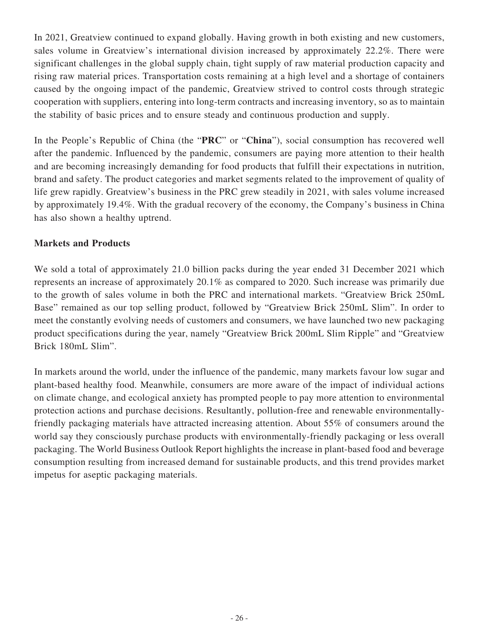In 2021, Greatview continued to expand globally. Having growth in both existing and new customers, sales volume in Greatview's international division increased by approximately 22.2%. There were significant challenges in the global supply chain, tight supply of raw material production capacity and rising raw material prices. Transportation costs remaining at a high level and a shortage of containers caused by the ongoing impact of the pandemic, Greatview strived to control costs through strategic cooperation with suppliers, entering into long-term contracts and increasing inventory, so as to maintain the stability of basic prices and to ensure steady and continuous production and supply.

In the People's Republic of China (the "**PRC**" or "**China**"), social consumption has recovered well after the pandemic. Influenced by the pandemic, consumers are paying more attention to their health and are becoming increasingly demanding for food products that fulfill their expectations in nutrition, brand and safety. The product categories and market segments related to the improvement of quality of life grew rapidly. Greatview's business in the PRC grew steadily in 2021, with sales volume increased by approximately 19.4%. With the gradual recovery of the economy, the Company's business in China has also shown a healthy uptrend.

# **Markets and Products**

We sold a total of approximately 21.0 billion packs during the year ended 31 December 2021 which represents an increase of approximately 20.1% as compared to 2020. Such increase was primarily due to the growth of sales volume in both the PRC and international markets. "Greatview Brick 250mL Base" remained as our top selling product, followed by "Greatview Brick 250mL Slim". In order to meet the constantly evolving needs of customers and consumers, we have launched two new packaging product specifications during the year, namely "Greatview Brick 200mL Slim Ripple" and "Greatview Brick 180mL Slim".

In markets around the world, under the influence of the pandemic, many markets favour low sugar and plant-based healthy food. Meanwhile, consumers are more aware of the impact of individual actions on climate change, and ecological anxiety has prompted people to pay more attention to environmental protection actions and purchase decisions. Resultantly, pollution-free and renewable environmentallyfriendly packaging materials have attracted increasing attention. About 55% of consumers around the world say they consciously purchase products with environmentally-friendly packaging or less overall packaging. The World Business Outlook Report highlights the increase in plant-based food and beverage consumption resulting from increased demand for sustainable products, and this trend provides market impetus for aseptic packaging materials.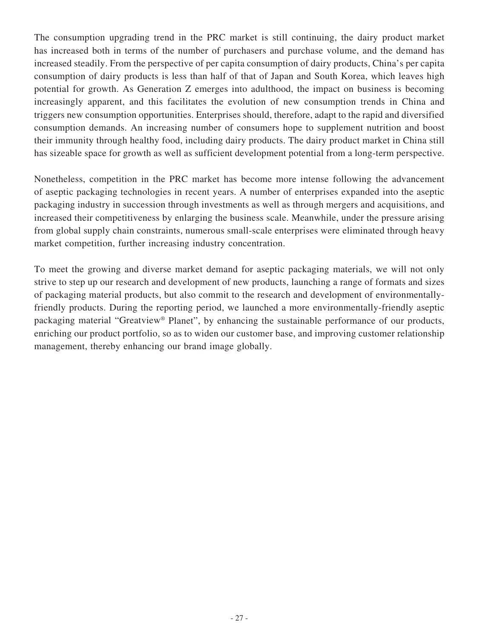The consumption upgrading trend in the PRC market is still continuing, the dairy product market has increased both in terms of the number of purchasers and purchase volume, and the demand has increased steadily. From the perspective of per capita consumption of dairy products, China's per capita consumption of dairy products is less than half of that of Japan and South Korea, which leaves high potential for growth. As Generation Z emerges into adulthood, the impact on business is becoming increasingly apparent, and this facilitates the evolution of new consumption trends in China and triggers new consumption opportunities. Enterprises should, therefore, adapt to the rapid and diversified consumption demands. An increasing number of consumers hope to supplement nutrition and boost their immunity through healthy food, including dairy products. The dairy product market in China still has sizeable space for growth as well as sufficient development potential from a long-term perspective.

Nonetheless, competition in the PRC market has become more intense following the advancement of aseptic packaging technologies in recent years. A number of enterprises expanded into the aseptic packaging industry in succession through investments as well as through mergers and acquisitions, and increased their competitiveness by enlarging the business scale. Meanwhile, under the pressure arising from global supply chain constraints, numerous small-scale enterprises were eliminated through heavy market competition, further increasing industry concentration.

To meet the growing and diverse market demand for aseptic packaging materials, we will not only strive to step up our research and development of new products, launching a range of formats and sizes of packaging material products, but also commit to the research and development of environmentallyfriendly products. During the reporting period, we launched a more environmentally-friendly aseptic packaging material "Greatview® Planet", by enhancing the sustainable performance of our products, enriching our product portfolio, so as to widen our customer base, and improving customer relationship management, thereby enhancing our brand image globally.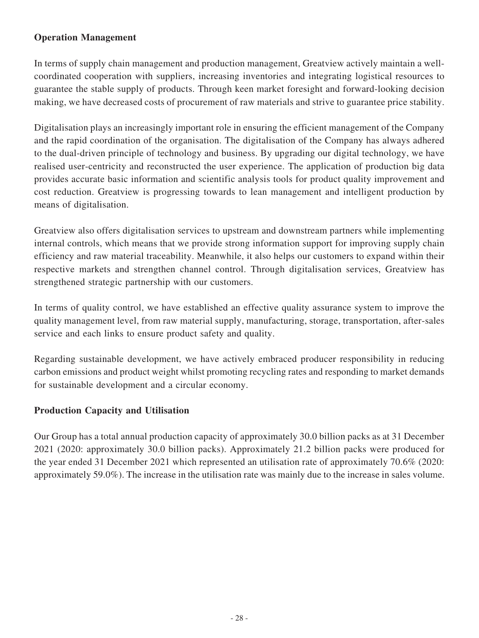## **Operation Management**

In terms of supply chain management and production management, Greatview actively maintain a wellcoordinated cooperation with suppliers, increasing inventories and integrating logistical resources to guarantee the stable supply of products. Through keen market foresight and forward-looking decision making, we have decreased costs of procurement of raw materials and strive to guarantee price stability.

Digitalisation plays an increasingly important role in ensuring the efficient management of the Company and the rapid coordination of the organisation. The digitalisation of the Company has always adhered to the dual-driven principle of technology and business. By upgrading our digital technology, we have realised user-centricity and reconstructed the user experience. The application of production big data provides accurate basic information and scientific analysis tools for product quality improvement and cost reduction. Greatview is progressing towards to lean management and intelligent production by means of digitalisation.

Greatview also offers digitalisation services to upstream and downstream partners while implementing internal controls, which means that we provide strong information support for improving supply chain efficiency and raw material traceability. Meanwhile, it also helps our customers to expand within their respective markets and strengthen channel control. Through digitalisation services, Greatview has strengthened strategic partnership with our customers.

In terms of quality control, we have established an effective quality assurance system to improve the quality management level, from raw material supply, manufacturing, storage, transportation, after-sales service and each links to ensure product safety and quality.

Regarding sustainable development, we have actively embraced producer responsibility in reducing carbon emissions and product weight whilst promoting recycling rates and responding to market demands for sustainable development and a circular economy.

# **Production Capacity and Utilisation**

Our Group has a total annual production capacity of approximately 30.0 billion packs as at 31 December 2021 (2020: approximately 30.0 billion packs). Approximately 21.2 billion packs were produced for the year ended 31 December 2021 which represented an utilisation rate of approximately 70.6% (2020: approximately 59.0%). The increase in the utilisation rate was mainly due to the increase in sales volume.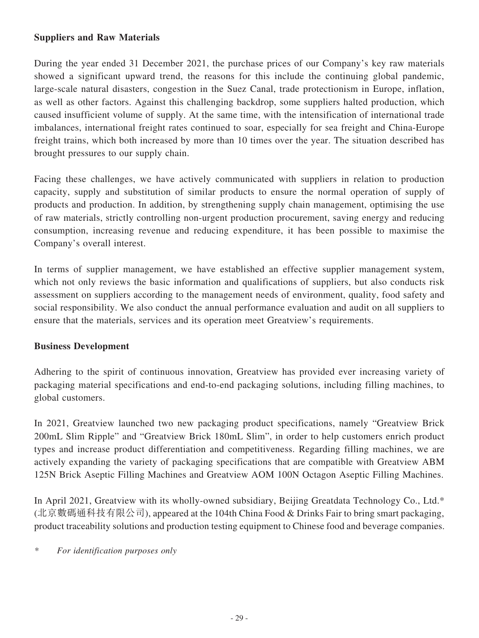### **Suppliers and Raw Materials**

During the year ended 31 December 2021, the purchase prices of our Company's key raw materials showed a significant upward trend, the reasons for this include the continuing global pandemic, large-scale natural disasters, congestion in the Suez Canal, trade protectionism in Europe, inflation, as well as other factors. Against this challenging backdrop, some suppliers halted production, which caused insufficient volume of supply. At the same time, with the intensification of international trade imbalances, international freight rates continued to soar, especially for sea freight and China-Europe freight trains, which both increased by more than 10 times over the year. The situation described has brought pressures to our supply chain.

Facing these challenges, we have actively communicated with suppliers in relation to production capacity, supply and substitution of similar products to ensure the normal operation of supply of products and production. In addition, by strengthening supply chain management, optimising the use of raw materials, strictly controlling non-urgent production procurement, saving energy and reducing consumption, increasing revenue and reducing expenditure, it has been possible to maximise the Company's overall interest.

In terms of supplier management, we have established an effective supplier management system, which not only reviews the basic information and qualifications of suppliers, but also conducts risk assessment on suppliers according to the management needs of environment, quality, food safety and social responsibility. We also conduct the annual performance evaluation and audit on all suppliers to ensure that the materials, services and its operation meet Greatview's requirements.

# **Business Development**

Adhering to the spirit of continuous innovation, Greatview has provided ever increasing variety of packaging material specifications and end-to-end packaging solutions, including filling machines, to global customers.

In 2021, Greatview launched two new packaging product specifications, namely "Greatview Brick 200mL Slim Ripple" and "Greatview Brick 180mL Slim", in order to help customers enrich product types and increase product differentiation and competitiveness. Regarding filling machines, we are actively expanding the variety of packaging specifications that are compatible with Greatview ABM 125N Brick Aseptic Filling Machines and Greatview AOM 100N Octagon Aseptic Filling Machines.

In April 2021, Greatview with its wholly-owned subsidiary, Beijing Greatdata Technology Co., Ltd.\* (北京數碼通科技有限公司), appeared at the 104th China Food & Drinks Fair to bring smart packaging, product traceability solutions and production testing equipment to Chinese food and beverage companies.

*\* For identification purposes only*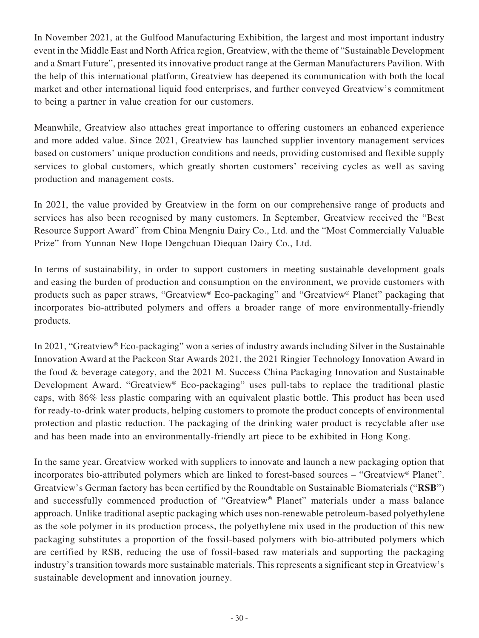In November 2021, at the Gulfood Manufacturing Exhibition, the largest and most important industry event in the Middle East and North Africa region, Greatview, with the theme of "Sustainable Development and a Smart Future", presented its innovative product range at the German Manufacturers Pavilion. With the help of this international platform, Greatview has deepened its communication with both the local market and other international liquid food enterprises, and further conveyed Greatview's commitment to being a partner in value creation for our customers.

Meanwhile, Greatview also attaches great importance to offering customers an enhanced experience and more added value. Since 2021, Greatview has launched supplier inventory management services based on customers' unique production conditions and needs, providing customised and flexible supply services to global customers, which greatly shorten customers' receiving cycles as well as saving production and management costs.

In 2021, the value provided by Greatview in the form on our comprehensive range of products and services has also been recognised by many customers. In September, Greatview received the "Best Resource Support Award" from China Mengniu Dairy Co., Ltd. and the "Most Commercially Valuable Prize" from Yunnan New Hope Dengchuan Diequan Dairy Co., Ltd.

In terms of sustainability, in order to support customers in meeting sustainable development goals and easing the burden of production and consumption on the environment, we provide customers with products such as paper straws, "Greatview® Eco-packaging" and "Greatview® Planet" packaging that incorporates bio-attributed polymers and offers a broader range of more environmentally-friendly products.

In 2021, "Greatview® Eco-packaging" won a series of industry awards including Silver in the Sustainable Innovation Award at the Packcon Star Awards 2021, the 2021 Ringier Technology Innovation Award in the food & beverage category, and the 2021 M. Success China Packaging Innovation and Sustainable Development Award. "Greatview® Eco-packaging" uses pull-tabs to replace the traditional plastic caps, with 86% less plastic comparing with an equivalent plastic bottle. This product has been used for ready-to-drink water products, helping customers to promote the product concepts of environmental protection and plastic reduction. The packaging of the drinking water product is recyclable after use and has been made into an environmentally-friendly art piece to be exhibited in Hong Kong.

In the same year, Greatview worked with suppliers to innovate and launch a new packaging option that incorporates bio-attributed polymers which are linked to forest-based sources – "Greatview® Planet". Greatview's German factory has been certified by the Roundtable on Sustainable Biomaterials ("**RSB**") and successfully commenced production of "Greatview® Planet" materials under a mass balance approach. Unlike traditional aseptic packaging which uses non-renewable petroleum-based polyethylene as the sole polymer in its production process, the polyethylene mix used in the production of this new packaging substitutes a proportion of the fossil-based polymers with bio-attributed polymers which are certified by RSB, reducing the use of fossil-based raw materials and supporting the packaging industry's transition towards more sustainable materials. This represents a significant step in Greatview's sustainable development and innovation journey.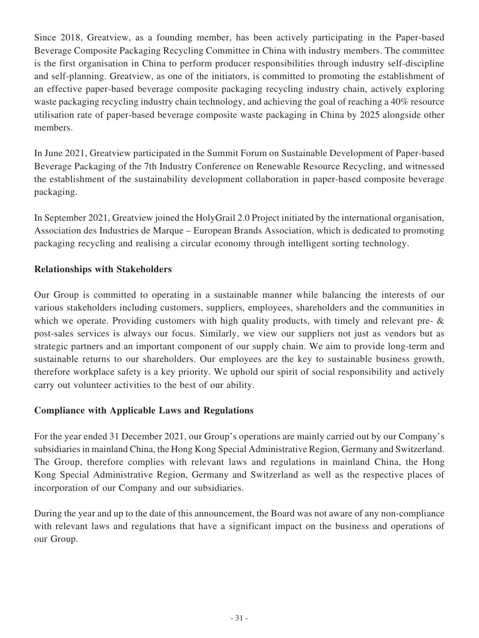Since 2018, Greatview, as a founding member, has been actively participating in the Paper-based Beverage Composite Packaging Recycling Committee in China with industry members. The committee is the first organisation in China to perform producer responsibilities through industry self-discipline and self-planning. Greatview, as one of the initiators, is committed to promoting the establishment of an effective paper-based beverage composite packaging recycling industry chain, actively exploring waste packaging recycling industry chain technology, and achieving the goal of reaching a 40% resource utilisation rate of paper-based beverage composite waste packaging in China by 2025 alongside other members.

In June 2021, Greatview participated in the Summit Forum on Sustainable Development of Paper-based Beverage Packaging of the 7th Industry Conference on Renewable Resource Recycling, and witnessed the establishment of the sustainability development collaboration in paper-based composite beverage packaging.

In September 2021, Greatview joined the HolyGrail 2.0 Project initiated by the international organisation, Association des Industries de Marque – European Brands Association, which is dedicated to promoting packaging recycling and realising a circular economy through intelligent sorting technology.

# **Relationships with Stakeholders**

Our Group is committed to operating in a sustainable manner while balancing the interests of our various stakeholders including customers, suppliers, employees, shareholders and the communities in which we operate. Providing customers with high quality products, with timely and relevant pre-  $\&$ post-sales services is always our focus. Similarly, we view our suppliers not just as vendors but as strategic partners and an important component of our supply chain. We aim to provide long-term and sustainable returns to our shareholders. Our employees are the key to sustainable business growth, therefore workplace safety is a key priority. We uphold our spirit of social responsibility and actively carry out volunteer activities to the best of our ability.

### **Compliance with Applicable Laws and Regulations**

For the year ended 31 December 2021, our Group's operations are mainly carried out by our Company's subsidiaries in mainland China, the Hong Kong Special Administrative Region, Germany and Switzerland. The Group, therefore complies with relevant laws and regulations in mainland China, the Hong Kong Special Administrative Region, Germany and Switzerland as well as the respective places of incorporation of our Company and our subsidiaries.

During the year and up to the date of this announcement, the Board was not aware of any non-compliance with relevant laws and regulations that have a significant impact on the business and operations of our Group.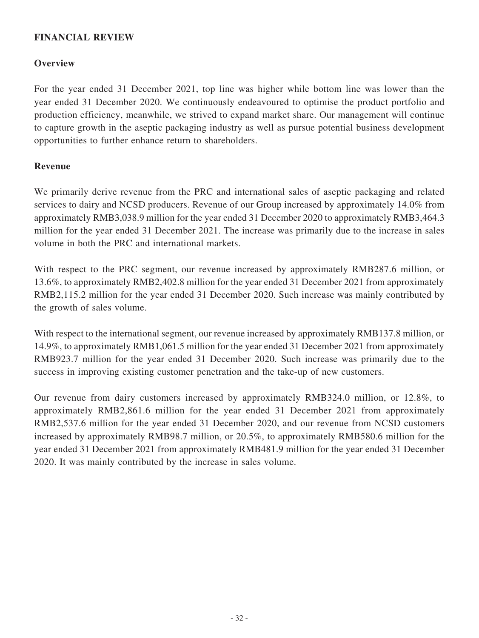## **FINANCIAL REVIEW**

### **Overview**

For the year ended 31 December 2021, top line was higher while bottom line was lower than the year ended 31 December 2020. We continuously endeavoured to optimise the product portfolio and production efficiency, meanwhile, we strived to expand market share. Our management will continue to capture growth in the aseptic packaging industry as well as pursue potential business development opportunities to further enhance return to shareholders.

### **Revenue**

We primarily derive revenue from the PRC and international sales of aseptic packaging and related services to dairy and NCSD producers. Revenue of our Group increased by approximately 14.0% from approximately RMB3,038.9 million for the year ended 31 December 2020 to approximately RMB3,464.3 million for the year ended 31 December 2021. The increase was primarily due to the increase in sales volume in both the PRC and international markets.

With respect to the PRC segment, our revenue increased by approximately RMB287.6 million, or 13.6%, to approximately RMB2,402.8 million for the year ended 31 December 2021 from approximately RMB2,115.2 million for the year ended 31 December 2020. Such increase was mainly contributed by the growth of sales volume.

With respect to the international segment, our revenue increased by approximately RMB137.8 million, or 14.9%, to approximately RMB1,061.5 million for the year ended 31 December 2021 from approximately RMB923.7 million for the year ended 31 December 2020. Such increase was primarily due to the success in improving existing customer penetration and the take-up of new customers.

Our revenue from dairy customers increased by approximately RMB324.0 million, or 12.8%, to approximately RMB2,861.6 million for the year ended 31 December 2021 from approximately RMB2,537.6 million for the year ended 31 December 2020, and our revenue from NCSD customers increased by approximately RMB98.7 million, or 20.5%, to approximately RMB580.6 million for the year ended 31 December 2021 from approximately RMB481.9 million for the year ended 31 December 2020. It was mainly contributed by the increase in sales volume.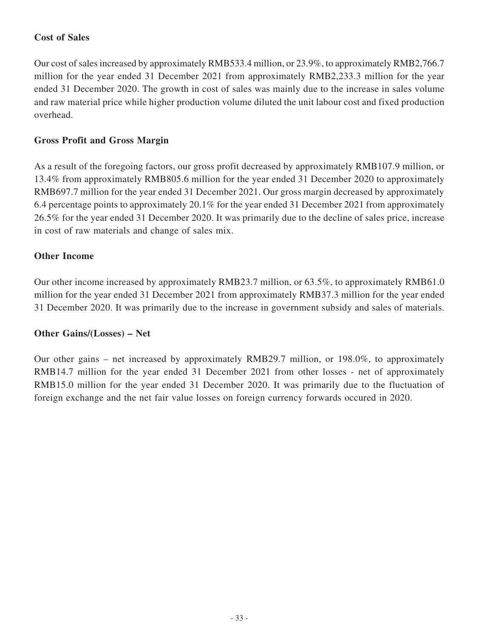# **Cost of Sales**

Our cost of sales increased by approximately RMB533.4 million, or 23.9%, to approximately RMB2,766.7 million for the year ended 31 December 2021 from approximately RMB2,233.3 million for the year ended 31 December 2020. The growth in cost of sales was mainly due to the increase in sales volume and raw material price while higher production volume diluted the unit labour cost and fixed production overhead.

# **Gross Profit and Gross Margin**

As a result of the foregoing factors, our gross profit decreased by approximately RMB107.9 million, or 13.4% from approximately RMB805.6 million for the year ended 31 December 2020 to approximately RMB697.7 million for the year ended 31 December 2021. Our gross margin decreased by approximately 6.4 percentage points to approximately 20.1% for the year ended 31 December 2021 from approximately 26.5% for the year ended 31 December 2020. It was primarily due to the decline of sales price, increase in cost of raw materials and change of sales mix.

### **Other Income**

Our other income increased by approximately RMB23.7 million, or 63.5%, to approximately RMB61.0 million for the year ended 31 December 2021 from approximately RMB37.3 million for the year ended 31 December 2020. It was primarily due to the increase in government subsidy and sales of materials.

### **Other Gains/(Losses) – Net**

Our other gains – net increased by approximately RMB29.7 million, or 198.0%, to approximately RMB14.7 million for the year ended 31 December 2021 from other losses - net of approximately RMB15.0 million for the year ended 31 December 2020. It was primarily due to the fluctuation of foreign exchange and the net fair value losses on foreign currency forwards occured in 2020.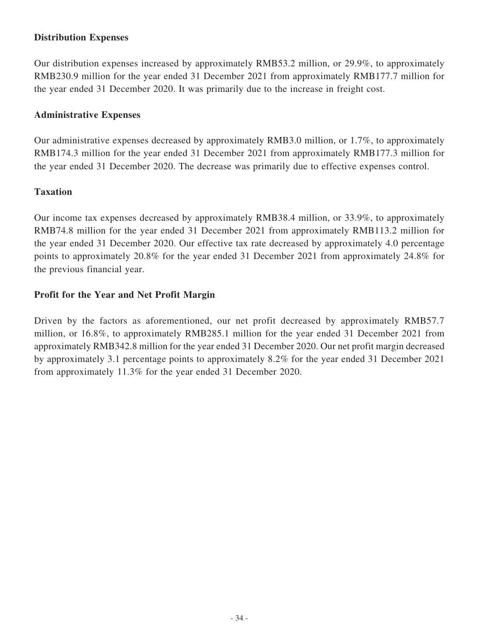## **Distribution Expenses**

Our distribution expenses increased by approximately RMB53.2 million, or 29.9%, to approximately RMB230.9 million for the year ended 31 December 2021 from approximately RMB177.7 million for the year ended 31 December 2020. It was primarily due to the increase in freight cost.

### **Administrative Expenses**

Our administrative expenses decreased by approximately RMB3.0 million, or 1.7%, to approximately RMB174.3 million for the year ended 31 December 2021 from approximately RMB177.3 million for the year ended 31 December 2020. The decrease was primarily due to effective expenses control.

# **Taxation**

Our income tax expenses decreased by approximately RMB38.4 million, or 33.9%, to approximately RMB74.8 million for the year ended 31 December 2021 from approximately RMB113.2 million for the year ended 31 December 2020. Our effective tax rate decreased by approximately 4.0 percentage points to approximately 20.8% for the year ended 31 December 2021 from approximately 24.8% for the previous financial year.

# **Profit for the Year and Net Profit Margin**

Driven by the factors as aforementioned, our net profit decreased by approximately RMB57.7 million, or 16.8%, to approximately RMB285.1 million for the year ended 31 December 2021 from approximately RMB342.8 million for the year ended 31 December 2020. Our net profit margin decreased by approximately 3.1 percentage points to approximately 8.2% for the year ended 31 December 2021 from approximately 11.3% for the year ended 31 December 2020.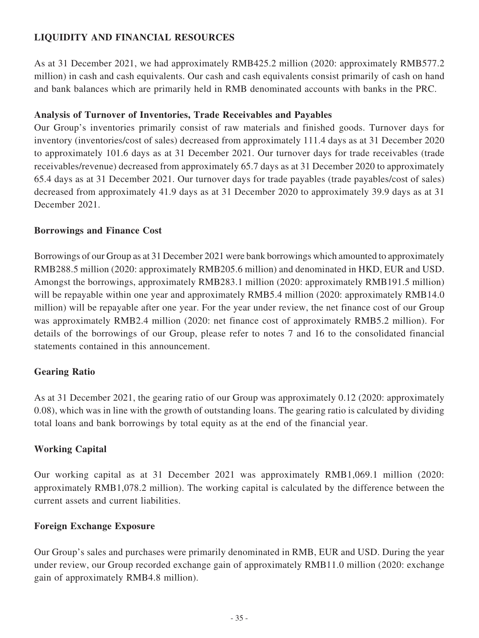# **LIQUIDITY AND FINANCIAL RESOURCES**

As at 31 December 2021, we had approximately RMB425.2 million (2020: approximately RMB577.2 million) in cash and cash equivalents. Our cash and cash equivalents consist primarily of cash on hand and bank balances which are primarily held in RMB denominated accounts with banks in the PRC.

# **Analysis of Turnover of Inventories, Trade Receivables and Payables**

Our Group's inventories primarily consist of raw materials and finished goods. Turnover days for inventory (inventories/cost of sales) decreased from approximately 111.4 days as at 31 December 2020 to approximately 101.6 days as at 31 December 2021. Our turnover days for trade receivables (trade receivables/revenue) decreased from approximately 65.7 days as at 31 December 2020 to approximately 65.4 days as at 31 December 2021. Our turnover days for trade payables (trade payables/cost of sales) decreased from approximately 41.9 days as at 31 December 2020 to approximately 39.9 days as at 31 December 2021.

# **Borrowings and Finance Cost**

Borrowings of our Group as at 31 December 2021 were bank borrowings which amounted to approximately RMB288.5 million (2020: approximately RMB205.6 million) and denominated in HKD, EUR and USD. Amongst the borrowings, approximately RMB283.1 million (2020: approximately RMB191.5 million) will be repayable within one year and approximately RMB5.4 million (2020: approximately RMB14.0) million) will be repayable after one year. For the year under review, the net finance cost of our Group was approximately RMB2.4 million (2020: net finance cost of approximately RMB5.2 million). For details of the borrowings of our Group, please refer to notes 7 and 16 to the consolidated financial statements contained in this announcement.

# **Gearing Ratio**

As at 31 December 2021, the gearing ratio of our Group was approximately 0.12 (2020: approximately 0.08), which was in line with the growth of outstanding loans. The gearing ratio is calculated by dividing total loans and bank borrowings by total equity as at the end of the financial year.

# **Working Capital**

Our working capital as at 31 December 2021 was approximately RMB1,069.1 million (2020: approximately RMB1,078.2 million). The working capital is calculated by the difference between the current assets and current liabilities.

### **Foreign Exchange Exposure**

Our Group's sales and purchases were primarily denominated in RMB, EUR and USD. During the year under review, our Group recorded exchange gain of approximately RMB11.0 million (2020: exchange gain of approximately RMB4.8 million).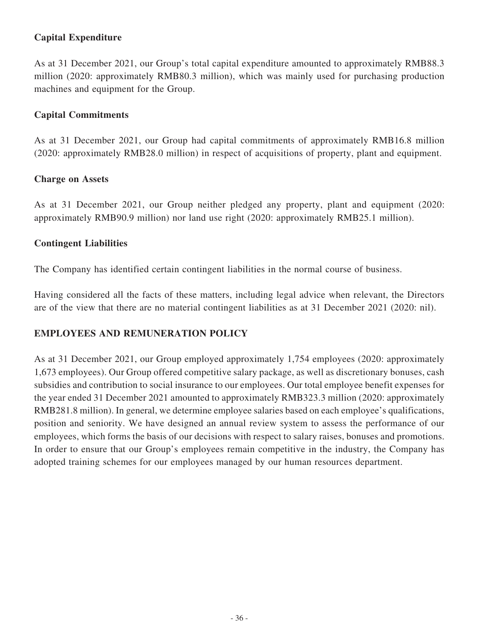# **Capital Expenditure**

As at 31 December 2021, our Group's total capital expenditure amounted to approximately RMB88.3 million (2020: approximately RMB80.3 million), which was mainly used for purchasing production machines and equipment for the Group.

### **Capital Commitments**

As at 31 December 2021, our Group had capital commitments of approximately RMB16.8 million (2020: approximately RMB28.0 million) in respect of acquisitions of property, plant and equipment.

### **Charge on Assets**

As at 31 December 2021, our Group neither pledged any property, plant and equipment (2020: approximately RMB90.9 million) nor land use right (2020: approximately RMB25.1 million).

### **Contingent Liabilities**

The Company has identified certain contingent liabilities in the normal course of business.

Having considered all the facts of these matters, including legal advice when relevant, the Directors are of the view that there are no material contingent liabilities as at 31 December 2021 (2020: nil).

### **EMPLOYEES AND REMUNERATION POLICY**

As at 31 December 2021, our Group employed approximately 1,754 employees (2020: approximately 1,673 employees). Our Group offered competitive salary package, as well as discretionary bonuses, cash subsidies and contribution to social insurance to our employees. Our total employee benefit expenses for the year ended 31 December 2021 amounted to approximately RMB323.3 million (2020: approximately RMB281.8 million). In general, we determine employee salaries based on each employee's qualifications, position and seniority. We have designed an annual review system to assess the performance of our employees, which forms the basis of our decisions with respect to salary raises, bonuses and promotions. In order to ensure that our Group's employees remain competitive in the industry, the Company has adopted training schemes for our employees managed by our human resources department.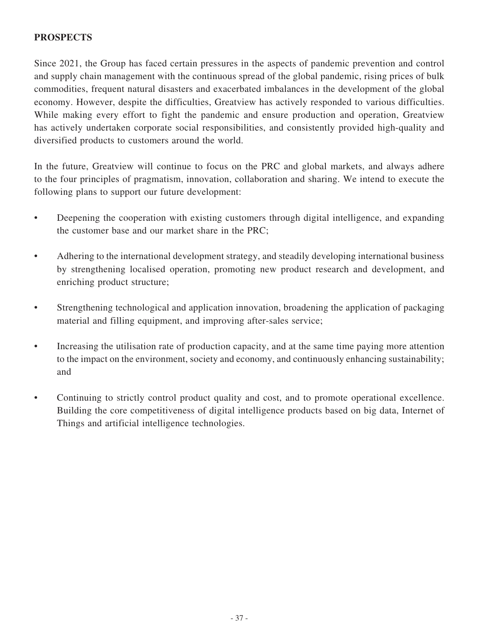# **PROSPECTS**

Since 2021, the Group has faced certain pressures in the aspects of pandemic prevention and control and supply chain management with the continuous spread of the global pandemic, rising prices of bulk commodities, frequent natural disasters and exacerbated imbalances in the development of the global economy. However, despite the difficulties, Greatview has actively responded to various difficulties. While making every effort to fight the pandemic and ensure production and operation, Greatview has actively undertaken corporate social responsibilities, and consistently provided high-quality and diversified products to customers around the world.

In the future, Greatview will continue to focus on the PRC and global markets, and always adhere to the four principles of pragmatism, innovation, collaboration and sharing. We intend to execute the following plans to support our future development:

- Deepening the cooperation with existing customers through digital intelligence, and expanding the customer base and our market share in the PRC;
- Adhering to the international development strategy, and steadily developing international business by strengthening localised operation, promoting new product research and development, and enriching product structure;
- Strengthening technological and application innovation, broadening the application of packaging material and filling equipment, and improving after-sales service;
- Increasing the utilisation rate of production capacity, and at the same time paying more attention to the impact on the environment, society and economy, and continuously enhancing sustainability; and
- Continuing to strictly control product quality and cost, and to promote operational excellence. Building the core competitiveness of digital intelligence products based on big data, Internet of Things and artificial intelligence technologies.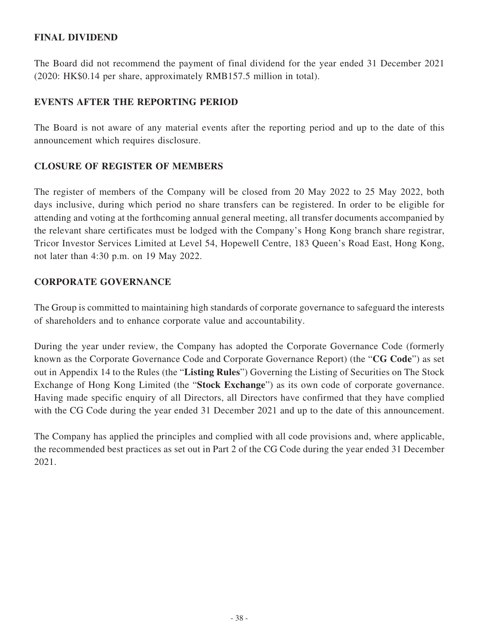## **FINAL DIVIDEND**

The Board did not recommend the payment of final dividend for the year ended 31 December 2021 (2020: HK\$0.14 per share, approximately RMB157.5 million in total).

# **EVENTS AFTER THE REPORTING PERIOD**

The Board is not aware of any material events after the reporting period and up to the date of this announcement which requires disclosure.

### **CLOSURE OF REGISTER OF MEMBERS**

The register of members of the Company will be closed from 20 May 2022 to 25 May 2022, both days inclusive, during which period no share transfers can be registered. In order to be eligible for attending and voting at the forthcoming annual general meeting, all transfer documents accompanied by the relevant share certificates must be lodged with the Company's Hong Kong branch share registrar, Tricor Investor Services Limited at Level 54, Hopewell Centre, 183 Queen's Road East, Hong Kong, not later than 4:30 p.m. on 19 May 2022.

### **CORPORATE GOVERNANCE**

The Group is committed to maintaining high standards of corporate governance to safeguard the interests of shareholders and to enhance corporate value and accountability.

During the year under review, the Company has adopted the Corporate Governance Code (formerly known as the Corporate Governance Code and Corporate Governance Report) (the "**CG Code**") as set out in Appendix 14 to the Rules (the "**Listing Rules**") Governing the Listing of Securities on The Stock Exchange of Hong Kong Limited (the "**Stock Exchange**") as its own code of corporate governance. Having made specific enquiry of all Directors, all Directors have confirmed that they have complied with the CG Code during the year ended 31 December 2021 and up to the date of this announcement.

The Company has applied the principles and complied with all code provisions and, where applicable, the recommended best practices as set out in Part 2 of the CG Code during the year ended 31 December 2021.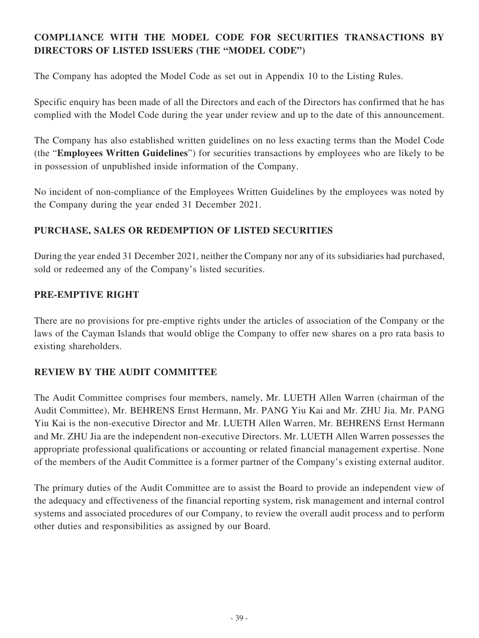# **COMPLIANCE WITH THE MODEL CODE FOR SECURITIES TRANSACTIONS BY DIRECTORS OF LISTED ISSUERS (THE "MODEL CODE")**

The Company has adopted the Model Code as set out in Appendix 10 to the Listing Rules.

Specific enquiry has been made of all the Directors and each of the Directors has confirmed that he has complied with the Model Code during the year under review and up to the date of this announcement.

The Company has also established written guidelines on no less exacting terms than the Model Code (the "**Employees Written Guidelines**") for securities transactions by employees who are likely to be in possession of unpublished inside information of the Company.

No incident of non-compliance of the Employees Written Guidelines by the employees was noted by the Company during the year ended 31 December 2021.

# **PURCHASE, SALES OR REDEMPTION OF LISTED SECURITIES**

During the year ended 31 December 2021, neither the Company nor any of its subsidiaries had purchased, sold or redeemed any of the Company's listed securities.

# **PRE-EMPTIVE RIGHT**

There are no provisions for pre-emptive rights under the articles of association of the Company or the laws of the Cayman Islands that would oblige the Company to offer new shares on a pro rata basis to existing shareholders.

# **REVIEW BY THE AUDIT COMMITTEE**

The Audit Committee comprises four members, namely, Mr. LUETH Allen Warren (chairman of the Audit Committee), Mr. BEHRENS Ernst Hermann, Mr. PANG Yiu Kai and Mr. ZHU Jia. Mr. PANG Yiu Kai is the non-executive Director and Mr. LUETH Allen Warren, Mr. BEHRENS Ernst Hermann and Mr. ZHU Jia are the independent non-executive Directors. Mr. LUETH Allen Warren possesses the appropriate professional qualifications or accounting or related financial management expertise. None of the members of the Audit Committee is a former partner of the Company's existing external auditor.

The primary duties of the Audit Committee are to assist the Board to provide an independent view of the adequacy and effectiveness of the financial reporting system, risk management and internal control systems and associated procedures of our Company, to review the overall audit process and to perform other duties and responsibilities as assigned by our Board.